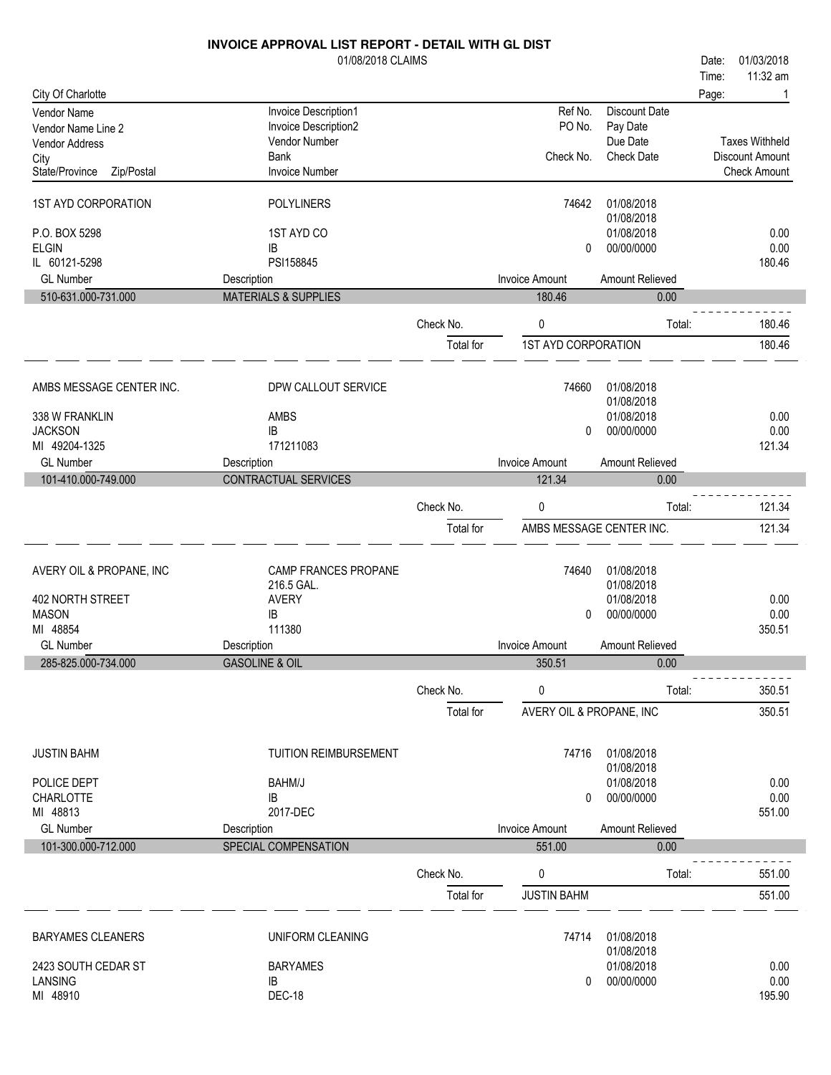|                                      | INVOICE APPROVAL LIST REPORT - DETAIL WITH GL DIST |           |                            |                           |                        |
|--------------------------------------|----------------------------------------------------|-----------|----------------------------|---------------------------|------------------------|
|                                      | 01/08/2018 CLAIMS                                  |           |                            |                           | 01/03/2018<br>Date:    |
|                                      |                                                    |           |                            |                           | 11:32 am<br>Time:      |
| City Of Charlotte                    |                                                    |           |                            |                           | Page:                  |
| Vendor Name                          | Invoice Description1<br>Invoice Description2       |           | Ref No.<br>PO No.          | Discount Date<br>Pay Date |                        |
| Vendor Name Line 2<br>Vendor Address | Vendor Number                                      |           |                            | Due Date                  | <b>Taxes Withheld</b>  |
| City                                 | Bank                                               |           | Check No.                  | <b>Check Date</b>         | <b>Discount Amount</b> |
| State/Province<br>Zip/Postal         | Invoice Number                                     |           |                            |                           | <b>Check Amount</b>    |
|                                      |                                                    |           |                            |                           |                        |
| 1ST AYD CORPORATION                  | <b>POLYLINERS</b>                                  |           | 74642                      | 01/08/2018<br>01/08/2018  |                        |
| P.O. BOX 5298                        | 1ST AYD CO                                         |           |                            | 01/08/2018                | 0.00                   |
| <b>ELGIN</b>                         | IB                                                 |           | 0                          | 00/00/0000                | 0.00                   |
| IL 60121-5298                        | PSI158845                                          |           |                            |                           | 180.46                 |
| <b>GL Number</b>                     | Description                                        |           | <b>Invoice Amount</b>      | Amount Relieved           |                        |
| 510-631.000-731.000                  | <b>MATERIALS &amp; SUPPLIES</b>                    |           | 180.46                     | 0.00                      |                        |
|                                      |                                                    | Check No. | 0                          | Total:                    | 180.46                 |
|                                      |                                                    | Total for | <b>1ST AYD CORPORATION</b> |                           | 180.46                 |
| AMBS MESSAGE CENTER INC.             | DPW CALLOUT SERVICE                                |           | 74660                      | 01/08/2018                |                        |
|                                      |                                                    |           |                            | 01/08/2018                |                        |
| 338 W FRANKLIN                       | AMBS                                               |           |                            | 01/08/2018                | 0.00                   |
| <b>JACKSON</b>                       | IB                                                 |           | $\mathbf{0}$               | 00/00/0000                | 0.00                   |
| MI 49204-1325                        | 171211083                                          |           |                            |                           | 121.34                 |
| <b>GL Number</b>                     | Description                                        |           | <b>Invoice Amount</b>      | Amount Relieved           |                        |
| 101-410.000-749.000                  | <b>CONTRACTUAL SERVICES</b>                        |           | 121.34                     | 0.00                      |                        |
|                                      |                                                    | Check No. | 0                          | Total:                    | 121.34                 |
|                                      |                                                    |           |                            |                           |                        |
|                                      |                                                    | Total for |                            | AMBS MESSAGE CENTER INC.  | 121.34                 |
| AVERY OIL & PROPANE, INC             | CAMP FRANCES PROPANE                               |           | 74640                      | 01/08/2018                |                        |
|                                      | 216.5 GAL.                                         |           |                            | 01/08/2018                |                        |
| 402 NORTH STREET                     | <b>AVERY</b>                                       |           |                            | 01/08/2018                | 0.00                   |
| <b>MASON</b>                         | IB                                                 |           | 0                          | 00/00/0000                | 0.00                   |
| MI 48854                             | 111380                                             |           |                            |                           | 350.51                 |
| <b>GL Number</b>                     | Description                                        |           | Invoice Amount             | Amount Relieved           |                        |
| 285-825.000-734.000                  | <b>GASOLINE &amp; OIL</b>                          |           | 350.51                     | 0.00                      |                        |
|                                      |                                                    | Check No. | 0                          | Total:                    | 350.51                 |
|                                      |                                                    | Total for | AVERY OIL & PROPANE, INC   |                           | 350.51                 |
| <b>JUSTIN BAHM</b>                   | <b>TUITION REIMBURSEMENT</b>                       |           | 74716                      | 01/08/2018                |                        |
|                                      |                                                    |           |                            | 01/08/2018                |                        |
| POLICE DEPT                          | BAHM/J                                             |           |                            | 01/08/2018                | 0.00                   |
| <b>CHARLOTTE</b>                     | IB                                                 |           | 0                          | 00/00/0000                | 0.00                   |
| MI 48813                             | 2017-DEC                                           |           |                            |                           | 551.00                 |
| <b>GL Number</b>                     | Description                                        |           | <b>Invoice Amount</b>      | Amount Relieved           |                        |
| 101-300.000-712.000                  | SPECIAL COMPENSATION                               |           | 551.00                     | 0.00                      |                        |
|                                      |                                                    | Check No. | 0                          | Total:                    | 551.00                 |
|                                      |                                                    | Total for | <b>JUSTIN BAHM</b>         |                           | 551.00                 |
|                                      |                                                    |           |                            |                           |                        |
| <b>BARYAMES CLEANERS</b>             | UNIFORM CLEANING                                   |           | 74714                      | 01/08/2018                |                        |
| 2423 SOUTH CEDAR ST                  | <b>BARYAMES</b>                                    |           |                            | 01/08/2018<br>01/08/2018  | 0.00                   |
| LANSING                              | IB                                                 |           | 0                          | 00/00/0000                | 0.00                   |
| MI 48910                             | DEC-18                                             |           |                            |                           | 195.90                 |
|                                      |                                                    |           |                            |                           |                        |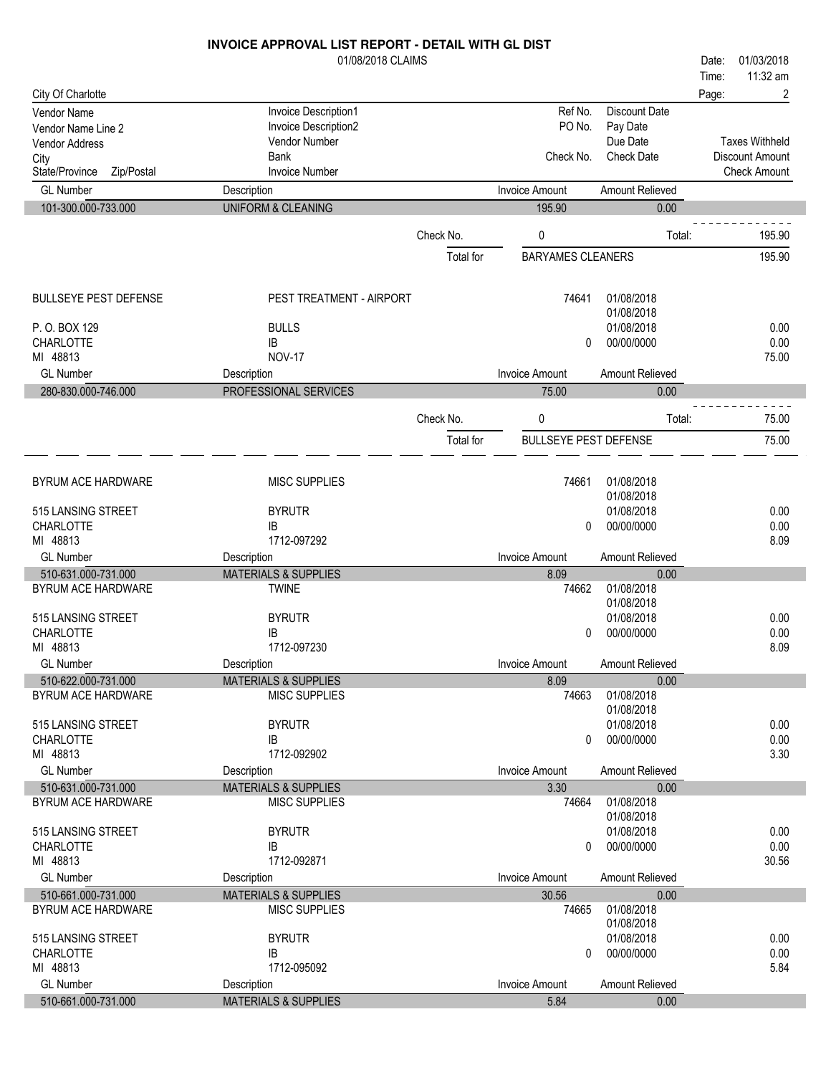|                                      | 01/08/2018 CLAIMS                              |           |                              |                          | 01/03/2018<br>Date:    |
|--------------------------------------|------------------------------------------------|-----------|------------------------------|--------------------------|------------------------|
|                                      |                                                |           |                              |                          | 11:32 am<br>Time:      |
| City Of Charlotte                    |                                                |           |                              |                          | 2<br>Page:             |
| Vendor Name                          | Invoice Description1                           |           | Ref No.                      | <b>Discount Date</b>     |                        |
| Vendor Name Line 2                   | Invoice Description2<br>Vendor Number          |           | PO No.                       | Pay Date<br>Due Date     | <b>Taxes Withheld</b>  |
| <b>Vendor Address</b>                | <b>Bank</b>                                    |           | Check No.                    | <b>Check Date</b>        | <b>Discount Amount</b> |
| City<br>State/Province<br>Zip/Postal | <b>Invoice Number</b>                          |           |                              |                          | <b>Check Amount</b>    |
| <b>GL Number</b>                     | Description                                    |           | <b>Invoice Amount</b>        | Amount Relieved          |                        |
| 101-300.000-733.000                  | <b>UNIFORM &amp; CLEANING</b>                  |           | 195.90                       | 0.00                     |                        |
|                                      |                                                |           |                              |                          |                        |
|                                      |                                                | Check No. | 0                            | Total:                   | 195.90                 |
|                                      |                                                | Total for | <b>BARYAMES CLEANERS</b>     |                          | 195.90                 |
| <b>BULLSEYE PEST DEFENSE</b>         | PEST TREATMENT - AIRPORT                       |           | 74641                        | 01/08/2018               |                        |
|                                      |                                                |           |                              | 01/08/2018               |                        |
| P.O. BOX 129                         | <b>BULLS</b>                                   |           |                              | 01/08/2018               | 0.00                   |
| <b>CHARLOTTE</b>                     | IB                                             |           | 0                            | 00/00/0000               | 0.00                   |
| MI 48813                             | <b>NOV-17</b>                                  |           |                              |                          | 75.00                  |
| <b>GL Number</b>                     | Description                                    |           | <b>Invoice Amount</b>        | Amount Relieved          |                        |
| 280-830.000-746.000                  | PROFESSIONAL SERVICES                          |           | 75.00                        | 0.00                     |                        |
|                                      |                                                | Check No. | 0                            | Total:                   | 75.00                  |
|                                      |                                                | Total for | <b>BULLSEYE PEST DEFENSE</b> |                          | 75.00                  |
|                                      |                                                |           |                              |                          |                        |
| BYRUM ACE HARDWARE                   | <b>MISC SUPPLIES</b>                           |           | 74661                        | 01/08/2018               |                        |
|                                      |                                                |           |                              | 01/08/2018               |                        |
| 515 LANSING STREET                   | <b>BYRUTR</b>                                  |           |                              | 01/08/2018               | 0.00                   |
| <b>CHARLOTTE</b>                     | IB                                             |           | 0                            | 00/00/0000               | 0.00                   |
| MI 48813<br><b>GL Number</b>         | 1712-097292                                    |           | <b>Invoice Amount</b>        |                          | 8.09                   |
| 510-631.000-731.000                  | Description<br><b>MATERIALS &amp; SUPPLIES</b> |           | 8.09                         | Amount Relieved<br>0.00  |                        |
| BYRUM ACE HARDWARE                   | <b>TWINE</b>                                   |           | 74662                        | 01/08/2018               |                        |
|                                      |                                                |           |                              | 01/08/2018               |                        |
| 515 LANSING STREET                   | <b>BYRUTR</b>                                  |           |                              | 01/08/2018               | 0.00                   |
| <b>CHARLOTTE</b>                     | IB                                             |           | $\Omega$                     | 00/00/0000               | 0.00                   |
| MI 48813                             | 1712-097230                                    |           |                              |                          | 8.09                   |
| <b>GL Number</b>                     | Description                                    |           | Invoice Amount               | Amount Relieved          |                        |
| 510-622.000-731.000                  | <b>MATERIALS &amp; SUPPLIES</b>                |           | 8.09                         | 0.00                     |                        |
| BYRUM ACE HARDWARE                   | <b>MISC SUPPLIES</b>                           |           | 74663                        | 01/08/2018               |                        |
|                                      |                                                |           |                              | 01/08/2018               |                        |
| 515 LANSING STREET                   | <b>BYRUTR</b>                                  |           |                              | 01/08/2018               | 0.00                   |
| CHARLOTTE                            | IB                                             |           | 0                            | 00/00/0000               | 0.00                   |
| MI 48813                             | 1712-092902                                    |           |                              |                          | 3.30                   |
| <b>GL Number</b>                     | Description                                    |           | Invoice Amount               | Amount Relieved          |                        |
| 510-631.000-731.000                  | <b>MATERIALS &amp; SUPPLIES</b>                |           | 3.30                         | 0.00                     |                        |
| BYRUM ACE HARDWARE                   | <b>MISC SUPPLIES</b>                           |           | 74664                        | 01/08/2018<br>01/08/2018 |                        |
| 515 LANSING STREET                   | <b>BYRUTR</b>                                  |           |                              | 01/08/2018               | 0.00                   |
| CHARLOTTE                            | IB                                             |           | 0                            | 00/00/0000               | 0.00                   |
| MI 48813                             | 1712-092871                                    |           |                              |                          | 30.56                  |

GL Number **Invoice Amount Relieved** Description **Invoice Amount Amount Relieved** 510-661.000-731.000 MATERIALS & SUPPLIES 30.56 0.00<br>BYRUM ACE HARDWARE MISC SUPPLIES 74665 01/08/2018

GL Number **Invoice Amount Relieved** Description **Invoice Amount Amount Relieved** 510-661.000-731.000 MATERIALS & SUPPLIES 5.84 0.00

IB 0 00/00/0000 0.000 0.000 0.000 0.000 0.000 0.000 0.000 0.000 0.000 0.000 0.000 0.000 0.000 0.000 0.000 0.00<br>1712-095092 5.84

1712-095092 5.84

01/08/2018

BYRUTR 01/08/2018

 $BYRUTR$   $01/08/2018$   $0.00$   $0.00$ 

MI 48813

CHARLOTTE

BYRUM ACE HARDWARE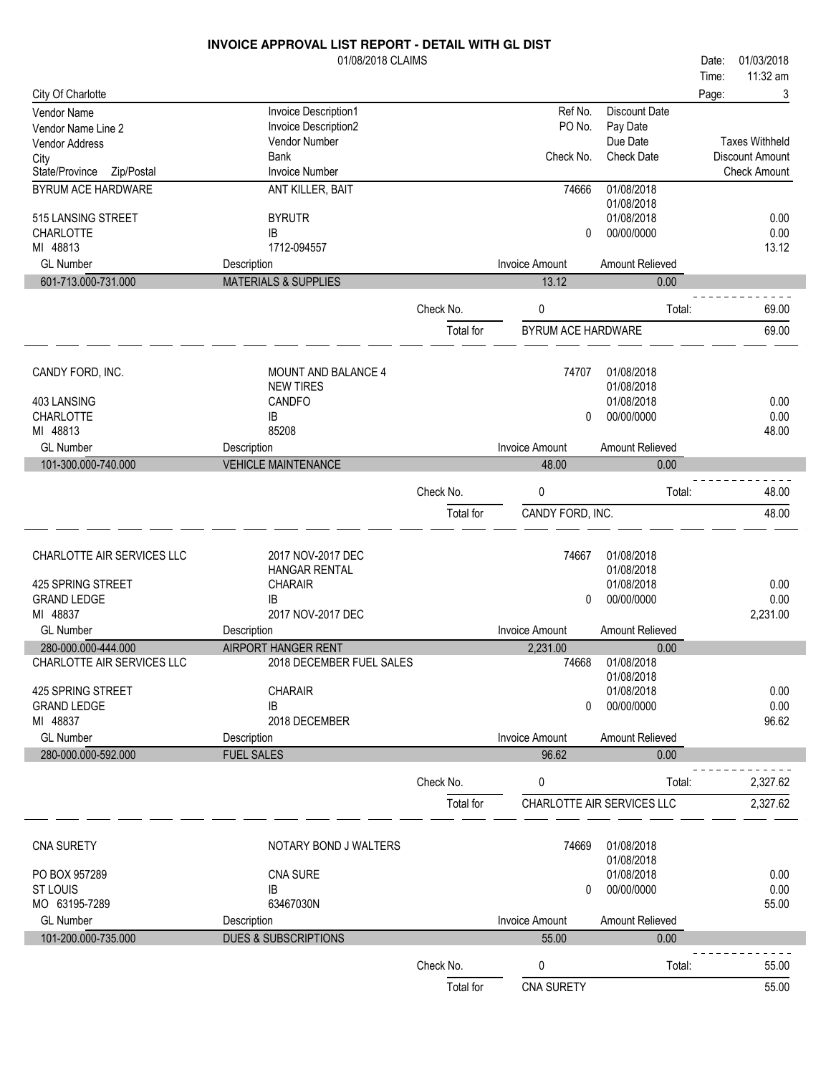|                                 | 01/08/2018 CLAIMS               |           |                       |                            | 01/03/2018<br>Date:   |
|---------------------------------|---------------------------------|-----------|-----------------------|----------------------------|-----------------------|
|                                 |                                 |           |                       |                            | 11:32 am<br>Time:     |
| City Of Charlotte               |                                 |           |                       |                            | 3<br>Page:            |
| Vendor Name                     | Invoice Description1            |           | Ref No.               | <b>Discount Date</b>       |                       |
| Vendor Name Line 2              | Invoice Description2            |           | PO No.                | Pay Date                   |                       |
| Vendor Address                  | Vendor Number                   |           |                       | Due Date                   | <b>Taxes Withheld</b> |
| City                            | Bank                            |           | Check No.             | <b>Check Date</b>          | Discount Amount       |
| State/Province<br>Zip/Postal    | <b>Invoice Number</b>           |           |                       |                            | <b>Check Amount</b>   |
| BYRUM ACE HARDWARE              | ANT KILLER, BAIT                |           | 74666                 | 01/08/2018                 |                       |
|                                 |                                 |           |                       | 01/08/2018                 |                       |
| 515 LANSING STREET              | <b>BYRUTR</b>                   |           |                       | 01/08/2018                 | 0.00                  |
| <b>CHARLOTTE</b><br>MI 48813    | IB<br>1712-094557               |           | $\mathbf{0}$          | 00/00/0000                 | 0.00<br>13.12         |
| <b>GL Number</b>                |                                 |           | <b>Invoice Amount</b> | Amount Relieved            |                       |
|                                 | Description                     |           |                       |                            |                       |
| 601-713.000-731.000             | <b>MATERIALS &amp; SUPPLIES</b> |           | 13.12                 | 0.00                       |                       |
|                                 |                                 | Check No. | 0                     | Total:                     | 69.00                 |
|                                 |                                 | Total for | BYRUM ACE HARDWARE    |                            | 69.00                 |
|                                 |                                 |           |                       |                            |                       |
|                                 |                                 |           |                       |                            |                       |
| CANDY FORD, INC.                | MOUNT AND BALANCE 4             |           | 74707                 | 01/08/2018                 |                       |
|                                 | <b>NEW TIRES</b>                |           |                       | 01/08/2018                 |                       |
| 403 LANSING<br><b>CHARLOTTE</b> | CANDFO                          |           |                       | 01/08/2018<br>00/00/0000   | 0.00<br>0.00          |
| MI 48813                        | IB<br>85208                     |           | 0                     |                            | 48.00                 |
| <b>GL Number</b>                | Description                     |           | <b>Invoice Amount</b> | Amount Relieved            |                       |
| 101-300.000-740.000             | <b>VEHICLE MAINTENANCE</b>      |           | 48.00                 | 0.00                       |                       |
|                                 |                                 |           |                       |                            |                       |
|                                 |                                 | Check No. | 0                     | Total:                     | 48.00                 |
|                                 |                                 | Total for | CANDY FORD, INC.      |                            | 48.00                 |
|                                 |                                 |           |                       |                            |                       |
|                                 |                                 |           |                       |                            |                       |
| CHARLOTTE AIR SERVICES LLC      | 2017 NOV-2017 DEC               |           | 74667                 | 01/08/2018                 |                       |
|                                 | HANGAR RENTAL                   |           |                       | 01/08/2018                 |                       |
| 425 SPRING STREET               | <b>CHARAIR</b>                  |           |                       | 01/08/2018                 | 0.00                  |
| <b>GRAND LEDGE</b>              | IB                              |           | $\mathbf{0}$          | 00/00/0000                 | 0.00                  |
| MI 48837                        | 2017 NOV-2017 DEC               |           |                       |                            | 2,231.00              |
| <b>GL Number</b>                | Description                     |           | <b>Invoice Amount</b> | Amount Relieved            |                       |
| 280-000.000-444.000             | <b>AIRPORT HANGER RENT</b>      |           | 2,231.00              | 0.00                       |                       |
| CHARLOTTE AIR SERVICES LLC      | 2018 DECEMBER FUEL SALES        |           | 74668                 | 01/08/2018                 |                       |
| 425 SPRING STREET               | <b>CHARAIR</b>                  |           |                       | 01/08/2018<br>01/08/2018   | 0.00                  |
| <b>GRAND LEDGE</b>              | IB                              |           | $\mathbf{0}$          | 00/00/0000                 | 0.00                  |
| MI 48837                        | 2018 DECEMBER                   |           |                       |                            | 96.62                 |
| <b>GL Number</b>                | Description                     |           | <b>Invoice Amount</b> | Amount Relieved            |                       |
| 280-000.000-592.000             | <b>FUEL SALES</b>               |           | 96.62                 | 0.00                       |                       |
|                                 |                                 |           |                       |                            |                       |
|                                 |                                 | Check No. | 0                     | Total:                     | 2,327.62              |
|                                 |                                 | Total for |                       | CHARLOTTE AIR SERVICES LLC | 2,327.62              |
|                                 |                                 |           |                       |                            |                       |
|                                 |                                 |           |                       |                            |                       |
| <b>CNA SURETY</b>               | NOTARY BOND J WALTERS           |           | 74669                 | 01/08/2018                 |                       |
|                                 |                                 |           |                       | 01/08/2018                 |                       |
| PO BOX 957289                   | <b>CNA SURE</b>                 |           |                       | 01/08/2018                 | 0.00                  |
| <b>ST LOUIS</b>                 | IB                              |           | 0                     | 00/00/0000                 | 0.00                  |
| MO 63195-7289                   | 63467030N                       |           |                       |                            | 55.00                 |
| <b>GL Number</b>                | Description                     |           | <b>Invoice Amount</b> | Amount Relieved            |                       |
| 101-200.000-735.000             | <b>DUES &amp; SUBSCRIPTIONS</b> |           | 55.00                 | 0.00                       |                       |
|                                 |                                 | Check No. | 0                     | Total:                     | 55.00                 |
|                                 |                                 | Total for | CNA SURETY            |                            | 55.00                 |
|                                 |                                 |           |                       |                            |                       |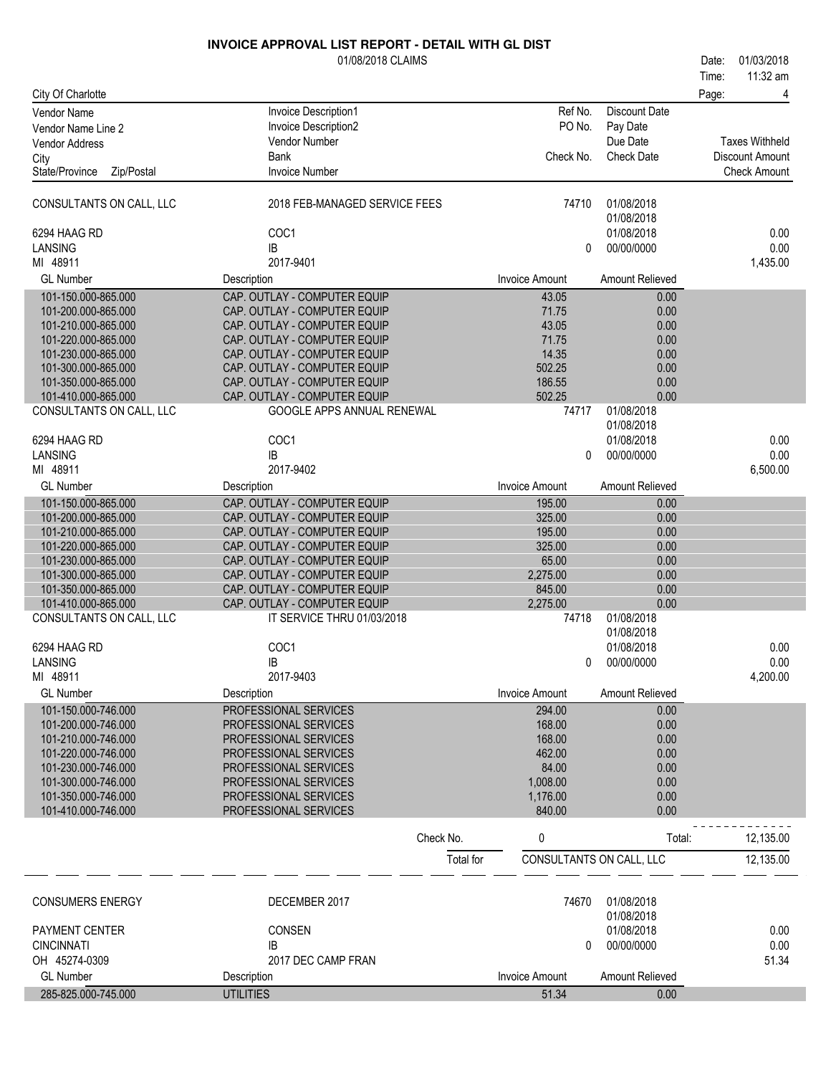|                                            | 01/08/2018 CLAIMS                                            |           |                                |                          | 01/03/2018<br>Date:<br>11:32 am<br>Time: |
|--------------------------------------------|--------------------------------------------------------------|-----------|--------------------------------|--------------------------|------------------------------------------|
| City Of Charlotte                          |                                                              |           |                                |                          | Page:<br>4                               |
| Vendor Name                                | Invoice Description1                                         |           | Ref No.                        | <b>Discount Date</b>     |                                          |
| Vendor Name Line 2                         | Invoice Description2                                         |           | PO No.                         | Pay Date                 |                                          |
| <b>Vendor Address</b>                      | Vendor Number                                                |           |                                | Due Date                 | <b>Taxes Withheld</b>                    |
| City                                       | <b>Bank</b>                                                  |           | Check No.                      | <b>Check Date</b>        | <b>Discount Amount</b>                   |
| Zip/Postal<br>State/Province               | <b>Invoice Number</b>                                        |           |                                |                          | <b>Check Amount</b>                      |
| CONSULTANTS ON CALL, LLC                   | 2018 FEB-MANAGED SERVICE FEES                                |           | 74710                          | 01/08/2018               |                                          |
| 6294 HAAG RD                               | COC1                                                         |           |                                | 01/08/2018<br>01/08/2018 | 0.00                                     |
| LANSING                                    | IB                                                           |           | 0                              | 00/00/0000               | 0.00                                     |
| MI 48911                                   | 2017-9401                                                    |           |                                |                          | 1,435.00                                 |
| <b>GL Number</b>                           | Description                                                  |           | <b>Invoice Amount</b>          | Amount Relieved          |                                          |
| 101-150.000-865.000                        | CAP. OUTLAY - COMPUTER EQUIP                                 |           | 43.05                          | 0.00                     |                                          |
| 101-200.000-865.000                        | CAP. OUTLAY - COMPUTER EQUIP                                 |           | 71.75                          | 0.00                     |                                          |
| 101-210.000-865.000                        | CAP. OUTLAY - COMPUTER EQUIP                                 |           | 43.05                          | 0.00                     |                                          |
| 101-220.000-865.000<br>101-230.000-865.000 | CAP. OUTLAY - COMPUTER EQUIP<br>CAP. OUTLAY - COMPUTER EQUIP |           | 71.75<br>14.35                 | 0.00<br>0.00             |                                          |
| 101-300.000-865.000                        | CAP. OUTLAY - COMPUTER EQUIP                                 |           | 502.25                         | 0.00                     |                                          |
| 101-350.000-865.000                        | CAP. OUTLAY - COMPUTER EQUIP                                 |           | 186.55                         | 0.00                     |                                          |
| 101-410.000-865.000                        | CAP. OUTLAY - COMPUTER EQUIP                                 |           | 502.25                         | 0.00                     |                                          |
| CONSULTANTS ON CALL, LLC                   | GOOGLE APPS ANNUAL RENEWAL                                   |           | 74717                          | 01/08/2018               |                                          |
|                                            | COC1                                                         |           |                                | 01/08/2018<br>01/08/2018 | 0.00                                     |
| 6294 HAAG RD<br>LANSING                    | IB                                                           |           | $\mathbf{0}$                   | 00/00/0000               | 0.00                                     |
| MI 48911                                   | 2017-9402                                                    |           |                                |                          | 6,500.00                                 |
| <b>GL Number</b>                           | Description                                                  |           | <b>Invoice Amount</b>          | Amount Relieved          |                                          |
| 101-150.000-865.000                        | CAP. OUTLAY - COMPUTER EQUIP                                 |           | 195.00                         | 0.00                     |                                          |
| 101-200.000-865.000                        | CAP. OUTLAY - COMPUTER EQUIP                                 |           | 325.00                         | 0.00                     |                                          |
| 101-210.000-865.000                        | CAP. OUTLAY - COMPUTER EQUIP                                 |           | 195.00                         | 0.00                     |                                          |
| 101-220.000-865.000                        | CAP. OUTLAY - COMPUTER EQUIP                                 |           | 325.00                         | 0.00                     |                                          |
| 101-230.000-865.000                        | CAP. OUTLAY - COMPUTER EQUIP                                 |           | 65.00                          | 0.00                     |                                          |
| 101-300.000-865.000<br>101-350.000-865.000 | CAP. OUTLAY - COMPUTER EQUIP<br>CAP. OUTLAY - COMPUTER EQUIP |           | 2,275.00<br>845.00             | 0.00<br>0.00             |                                          |
| 101-410.000-865.000                        | CAP. OUTLAY - COMPUTER EQUIP                                 |           | 2,275.00                       | 0.00                     |                                          |
| CONSULTANTS ON CALL, LLC                   | IT SERVICE THRU 01/03/2018                                   |           | 74718                          | 01/08/2018               |                                          |
|                                            |                                                              |           |                                | 01/08/2018               |                                          |
| 6294 HAAG RD                               | COC1                                                         |           |                                | 01/08/2018               | 0.00                                     |
| LANSING                                    | IB                                                           |           | 0                              | 00/00/0000               | 0.00                                     |
| MI 48911<br><b>GL Number</b>               | 2017-9403<br>Description                                     |           | <b>Invoice Amount</b>          | Amount Relieved          | 4,200.00                                 |
| 101-150.000-746.000                        | PROFESSIONAL SERVICES                                        |           | 294.00                         | 0.00                     |                                          |
| 101-200.000-746.000                        | PROFESSIONAL SERVICES                                        |           | 168.00                         | 0.00                     |                                          |
| 101-210.000-746.000                        | PROFESSIONAL SERVICES                                        |           | 168.00                         | 0.00                     |                                          |
| 101-220.000-746.000                        | PROFESSIONAL SERVICES                                        |           | 462.00                         | 0.00                     |                                          |
| 101-230.000-746.000                        | PROFESSIONAL SERVICES                                        |           | 84.00                          | 0.00                     |                                          |
| 101-300.000-746.000                        | PROFESSIONAL SERVICES                                        |           | 1,008.00                       | 0.00                     |                                          |
| 101-350.000-746.000<br>101-410.000-746.000 | PROFESSIONAL SERVICES                                        |           | 1,176.00<br>840.00             | 0.00<br>0.00             |                                          |
|                                            | PROFESSIONAL SERVICES                                        |           |                                |                          |                                          |
|                                            |                                                              | Check No. | 0                              | Total:                   | 12,135.00                                |
|                                            |                                                              | Total for | CONSULTANTS ON CALL, LLC       |                          | 12,135.00                                |
| <b>CONSUMERS ENERGY</b>                    | DECEMBER 2017                                                |           | 74670                          | 01/08/2018               |                                          |
|                                            |                                                              |           |                                | 01/08/2018               |                                          |
| PAYMENT CENTER                             | <b>CONSEN</b>                                                |           |                                | 01/08/2018               | 0.00                                     |
| <b>CINCINNATI</b>                          | IB                                                           |           | 0                              | 00/00/0000               | 0.00                                     |
| OH 45274-0309                              | 2017 DEC CAMP FRAN                                           |           |                                |                          | 51.34                                    |
| <b>GL Number</b><br>285-825.000-745.000    | Description<br><b>UTILITIES</b>                              |           | <b>Invoice Amount</b><br>51.34 | Amount Relieved<br>0.00  |                                          |
|                                            |                                                              |           |                                |                          |                                          |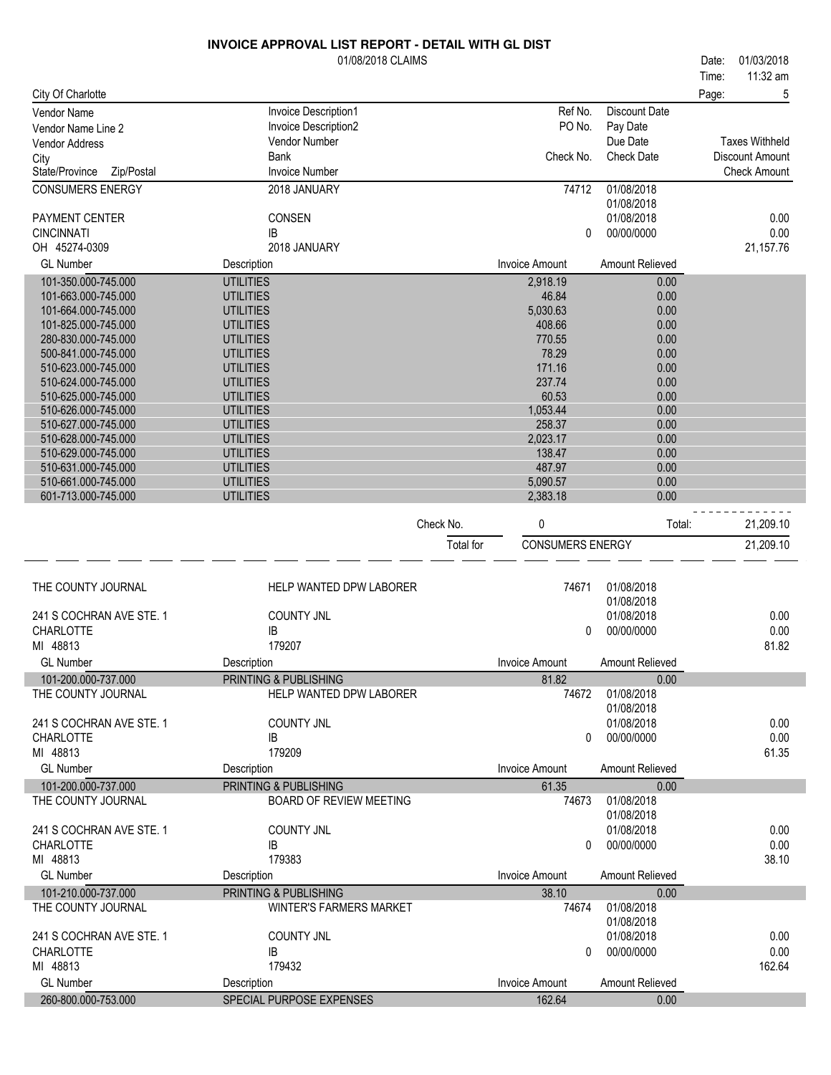|                                            | 01/08/2018 CLAIMS                    |           |                         |                          | 01/03/2018<br>Date:   |
|--------------------------------------------|--------------------------------------|-----------|-------------------------|--------------------------|-----------------------|
|                                            |                                      |           |                         |                          | 11:32 am<br>Time:     |
| City Of Charlotte                          |                                      |           |                         |                          | 5<br>Page:            |
| Vendor Name                                | Invoice Description1                 |           | Ref No.                 | <b>Discount Date</b>     |                       |
| Vendor Name Line 2                         | Invoice Description2                 |           | PO No.                  | Pay Date                 |                       |
| <b>Vendor Address</b>                      | <b>Vendor Number</b>                 |           |                         | Due Date                 | <b>Taxes Withheld</b> |
| City                                       | Bank                                 |           | Check No.               | <b>Check Date</b>        | Discount Amount       |
| Zip/Postal<br>State/Province               | <b>Invoice Number</b>                |           |                         |                          | <b>Check Amount</b>   |
| <b>CONSUMERS ENERGY</b>                    | 2018 JANUARY                         |           | 74712                   | 01/08/2018               |                       |
| PAYMENT CENTER                             | CONSEN                               |           |                         | 01/08/2018<br>01/08/2018 | 0.00                  |
| <b>CINCINNATI</b>                          | IB                                   |           | 0                       | 00/00/0000               | 0.00                  |
| OH 45274-0309                              | 2018 JANUARY                         |           |                         |                          | 21,157.76             |
| <b>GL Number</b>                           | Description                          |           | <b>Invoice Amount</b>   | Amount Relieved          |                       |
| 101-350.000-745.000                        | <b>UTILITIES</b>                     |           | 2,918.19                | 0.00                     |                       |
| 101-663.000-745.000                        | <b>UTILITIES</b>                     |           | 46.84                   | 0.00                     |                       |
| 101-664.000-745.000                        | <b>UTILITIES</b>                     |           | 5,030.63                | 0.00                     |                       |
| 101-825.000-745.000                        | <b>UTILITIES</b>                     |           | 408.66                  | 0.00                     |                       |
| 280-830.000-745.000                        | <b>UTILITIES</b>                     |           | 770.55                  | 0.00                     |                       |
| 500-841.000-745.000                        | <b>UTILITIES</b>                     |           | 78.29                   | 0.00                     |                       |
| 510-623.000-745.000                        | <b>UTILITIES</b>                     |           | 171.16                  | 0.00                     |                       |
| 510-624.000-745.000                        | <b>UTILITIES</b>                     |           | 237.74                  | 0.00                     |                       |
| 510-625.000-745.000                        | <b>UTILITIES</b>                     |           | 60.53                   | 0.00                     |                       |
| 510-626.000-745.000                        | <b>UTILITIES</b>                     |           | 1,053.44                | 0.00                     |                       |
| 510-627.000-745.000                        | <b>UTILITIES</b>                     |           | 258.37                  | 0.00                     |                       |
| 510-628.000-745.000<br>510-629.000-745.000 | <b>UTILITIES</b>                     |           | 2,023.17<br>138.47      | 0.00<br>0.00             |                       |
| 510-631.000-745.000                        | <b>UTILITIES</b><br><b>UTILITIES</b> |           | 487.97                  | 0.00                     |                       |
| 510-661.000-745.000                        | <b>UTILITIES</b>                     |           | 5,090.57                | 0.00                     |                       |
| 601-713.000-745.000                        | <b>UTILITIES</b>                     |           | 2,383.18                | 0.00                     |                       |
|                                            |                                      |           |                         |                          |                       |
|                                            |                                      | Check No. | 0                       | Total:                   | 21,209.10             |
|                                            |                                      | Total for | <b>CONSUMERS ENERGY</b> |                          | 21,209.10             |
| THE COUNTY JOURNAL                         | HELP WANTED DPW LABORER              |           | 74671                   | 01/08/2018               |                       |
|                                            |                                      |           |                         | 01/08/2018               |                       |
| 241 S COCHRAN AVE STE. 1                   | <b>COUNTY JNL</b>                    |           |                         | 01/08/2018               | 0.00                  |
| CHARLOTTE                                  | IB                                   |           | 0                       | 00/00/0000               | 0.00                  |
| MI 48813                                   | 179207                               |           |                         |                          | 81.82                 |
| GL Number                                  | Description                          |           | Invoice Amount          | Amount Relieved          |                       |
| 101-200.000-737.000                        | PRINTING & PUBLISHING                |           | 81.82                   | 0.00                     |                       |
| THE COUNTY JOURNAL                         | HELP WANTED DPW LABORER              |           | 74672                   | 01/08/2018               |                       |
|                                            |                                      |           |                         | 01/08/2018               |                       |
| 241 S COCHRAN AVE STE. 1                   | <b>COUNTY JNL</b>                    |           |                         | 01/08/2018               | 0.00                  |
| <b>CHARLOTTE</b>                           | IB                                   |           | $\Omega$                | 00/00/0000               | 0.00                  |
| MI 48813                                   | 179209                               |           |                         |                          | 61.35                 |
| <b>GL Number</b>                           | Description                          |           | <b>Invoice Amount</b>   | Amount Relieved          |                       |
| 101-200.000-737.000                        | PRINTING & PUBLISHING                |           | 61.35                   | 0.00                     |                       |
| THE COUNTY JOURNAL                         | <b>BOARD OF REVIEW MEETING</b>       |           | 74673                   | 01/08/2018<br>01/08/2018 |                       |
| 241 S COCHRAN AVE STE. 1                   | <b>COUNTY JNL</b>                    |           |                         | 01/08/2018               | 0.00                  |
| CHARLOTTE                                  | IB                                   |           | $\Omega$                | 00/00/0000               | 0.00                  |
| MI 48813                                   | 179383                               |           |                         |                          | 38.10                 |
| <b>GL Number</b>                           | Description                          |           | <b>Invoice Amount</b>   | Amount Relieved          |                       |
| 101-210.000-737.000                        | PRINTING & PUBLISHING                |           | 38.10                   | 0.00                     |                       |
| THE COUNTY JOURNAL                         | <b>WINTER'S FARMERS MARKET</b>       |           | 74674                   | 01/08/2018               |                       |
|                                            |                                      |           |                         | 01/08/2018               |                       |
| 241 S COCHRAN AVE STE. 1                   | <b>COUNTY JNL</b>                    |           |                         | 01/08/2018               | 0.00                  |
| <b>CHARLOTTE</b>                           | IB                                   |           | 0                       | 00/00/0000               | 0.00                  |
| MI 48813                                   | 179432                               |           |                         |                          | 162.64                |
| <b>GL Number</b>                           | Description                          |           | <b>Invoice Amount</b>   | Amount Relieved          |                       |
| 260-800.000-753.000                        | SPECIAL PURPOSE EXPENSES             |           | 162.64                  | 0.00                     |                       |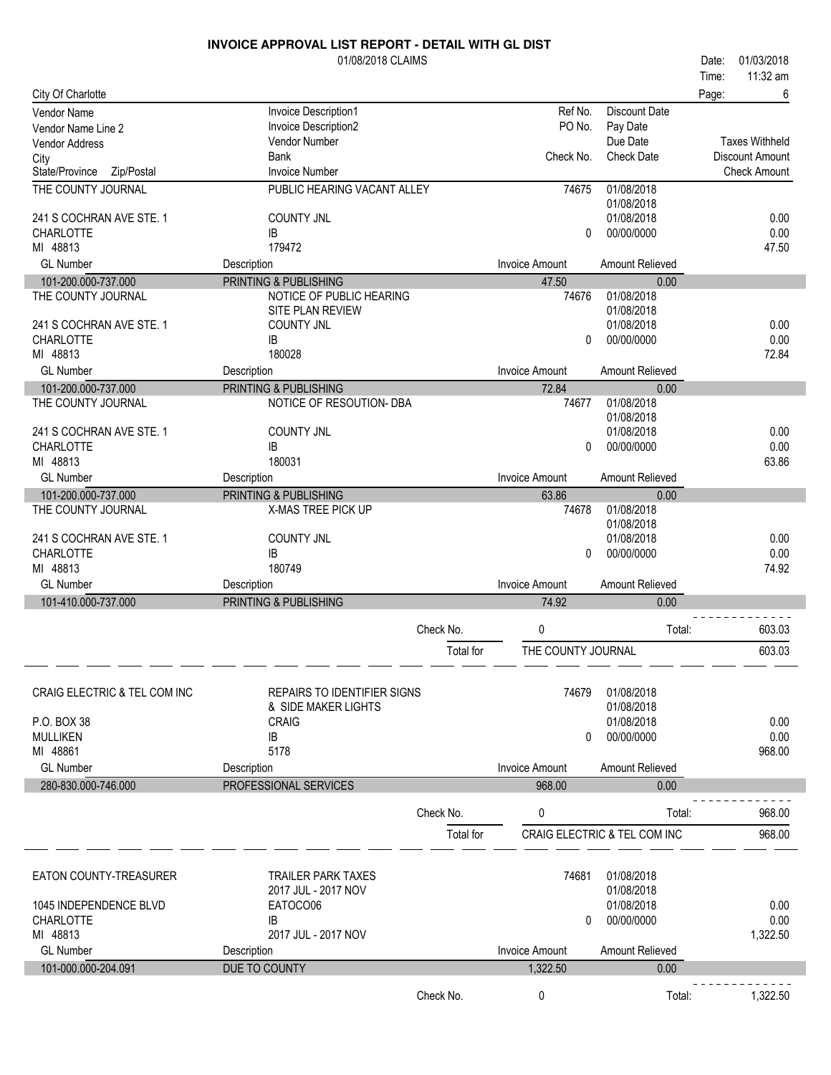|                                           | 01/08/2018 CLAIMS                   |           |                       |                              | 01/03/2018<br>Date:    |
|-------------------------------------------|-------------------------------------|-----------|-----------------------|------------------------------|------------------------|
|                                           |                                     |           |                       |                              | 11:32 am<br>Time:      |
| City Of Charlotte                         | Invoice Description1                |           | Ref No.               | <b>Discount Date</b>         | Page:<br>6             |
| Vendor Name<br>Vendor Name Line 2         | Invoice Description2                |           | PO No.                | Pay Date                     |                        |
| <b>Vendor Address</b>                     | Vendor Number                       |           |                       | Due Date                     | <b>Taxes Withheld</b>  |
| City                                      | <b>Bank</b>                         |           | Check No.             | <b>Check Date</b>            | <b>Discount Amount</b> |
| State/Province<br>Zip/Postal              | <b>Invoice Number</b>               |           |                       |                              | <b>Check Amount</b>    |
| THE COUNTY JOURNAL                        | PUBLIC HEARING VACANT ALLEY         |           | 74675                 | 01/08/2018<br>01/08/2018     |                        |
| 241 S COCHRAN AVE STE. 1                  | <b>COUNTY JNL</b>                   |           |                       | 01/08/2018                   | 0.00                   |
| <b>CHARLOTTE</b>                          | IB                                  |           | 0                     | 00/00/0000                   | 0.00                   |
| MI 48813                                  | 179472                              |           |                       |                              | 47.50                  |
| <b>GL Number</b>                          | Description                         |           | <b>Invoice Amount</b> | Amount Relieved              |                        |
| 101-200.000-737.000                       | PRINTING & PUBLISHING               |           | 47.50                 | 0.00                         |                        |
| THE COUNTY JOURNAL                        | NOTICE OF PUBLIC HEARING            |           | 74676                 | 01/08/2018                   |                        |
|                                           | SITE PLAN REVIEW                    |           |                       | 01/08/2018                   |                        |
| 241 S COCHRAN AVE STE. 1                  | <b>COUNTY JNL</b>                   |           |                       | 01/08/2018                   | 0.00                   |
| <b>CHARLOTTE</b><br>MI 48813              | IB<br>180028                        |           | 0                     | 00/00/0000                   | 0.00<br>72.84          |
| <b>GL Number</b>                          | Description                         |           | <b>Invoice Amount</b> | Amount Relieved              |                        |
| 101-200.000-737.000                       | PRINTING & PUBLISHING               |           | 72.84                 | 0.00                         |                        |
| THE COUNTY JOURNAL                        | NOTICE OF RESOUTION- DBA            |           | 74677                 | 01/08/2018                   |                        |
|                                           |                                     |           |                       | 01/08/2018                   |                        |
| 241 S COCHRAN AVE STE. 1                  | <b>COUNTY JNL</b>                   |           |                       | 01/08/2018                   | 0.00                   |
| <b>CHARLOTTE</b>                          | IB                                  |           | 0                     | 00/00/0000                   | 0.00                   |
| MI 48813                                  | 180031                              |           |                       |                              | 63.86                  |
| <b>GL Number</b>                          | Description                         |           | <b>Invoice Amount</b> | Amount Relieved              |                        |
| 101-200.000-737.000<br>THE COUNTY JOURNAL | PRINTING & PUBLISHING               |           | 63.86<br>74678        | 0.00<br>01/08/2018           |                        |
|                                           | X-MAS TREE PICK UP                  |           |                       | 01/08/2018                   |                        |
| 241 S COCHRAN AVE STE. 1                  | <b>COUNTY JNL</b>                   |           |                       | 01/08/2018                   | 0.00                   |
| <b>CHARLOTTE</b>                          | IB                                  |           | $\Omega$              | 00/00/0000                   | 0.00                   |
| MI 48813                                  | 180749                              |           |                       |                              | 74.92                  |
| <b>GL Number</b>                          | Description                         |           | <b>Invoice Amount</b> | Amount Relieved              |                        |
| 101-410.000-737.000                       | PRINTING & PUBLISHING               |           | 74.92                 | 0.00                         |                        |
|                                           |                                     | Check No. | 0                     | Total:                       | 603.03                 |
|                                           |                                     | Total for | THE COUNTY JOURNAL    |                              | 603.03                 |
|                                           |                                     |           |                       |                              |                        |
| <b>CRAIG ELECTRIC &amp; TEL COM INC</b>   | <b>REPAIRS TO IDENTIFIER SIGNS</b>  |           | 74679                 | 01/08/2018                   |                        |
| P.O. BOX 38                               | & SIDE MAKER LIGHTS<br><b>CRAIG</b> |           |                       | 01/08/2018<br>01/08/2018     | 0.00                   |
| <b>MULLIKEN</b>                           | IB                                  |           | $\Omega$              | 00/00/0000                   | 0.00                   |
| MI 48861                                  | 5178                                |           |                       |                              | 968.00                 |
| <b>GL Number</b>                          | Description                         |           | <b>Invoice Amount</b> | Amount Relieved              |                        |
| 280-830.000-746.000                       | PROFESSIONAL SERVICES               |           | 968.00                | 0.00                         |                        |
|                                           |                                     | Check No. | 0                     | Total:                       | 968.00                 |
|                                           |                                     |           |                       |                              |                        |
|                                           |                                     | Total for |                       | CRAIG ELECTRIC & TEL COM INC | 968.00                 |
| EATON COUNTY-TREASURER                    | <b>TRAILER PARK TAXES</b>           |           | 74681                 | 01/08/2018                   |                        |
|                                           | 2017 JUL - 2017 NOV                 |           |                       | 01/08/2018                   |                        |
| 1045 INDEPENDENCE BLVD                    | EATOCO06                            |           |                       | 01/08/2018                   | 0.00                   |
| <b>CHARLOTTE</b>                          | IB                                  |           | 0                     | 00/00/0000                   | 0.00                   |
| MI 48813                                  | 2017 JUL - 2017 NOV                 |           |                       |                              | 1,322.50               |
| <b>GL Number</b>                          | Description                         |           | <b>Invoice Amount</b> | <b>Amount Relieved</b>       |                        |
| 101-000.000-204.091                       | DUE TO COUNTY                       |           | 1,322.50              | 0.00                         |                        |
|                                           |                                     | Check No. | 0                     | Total:                       | 1,322.50               |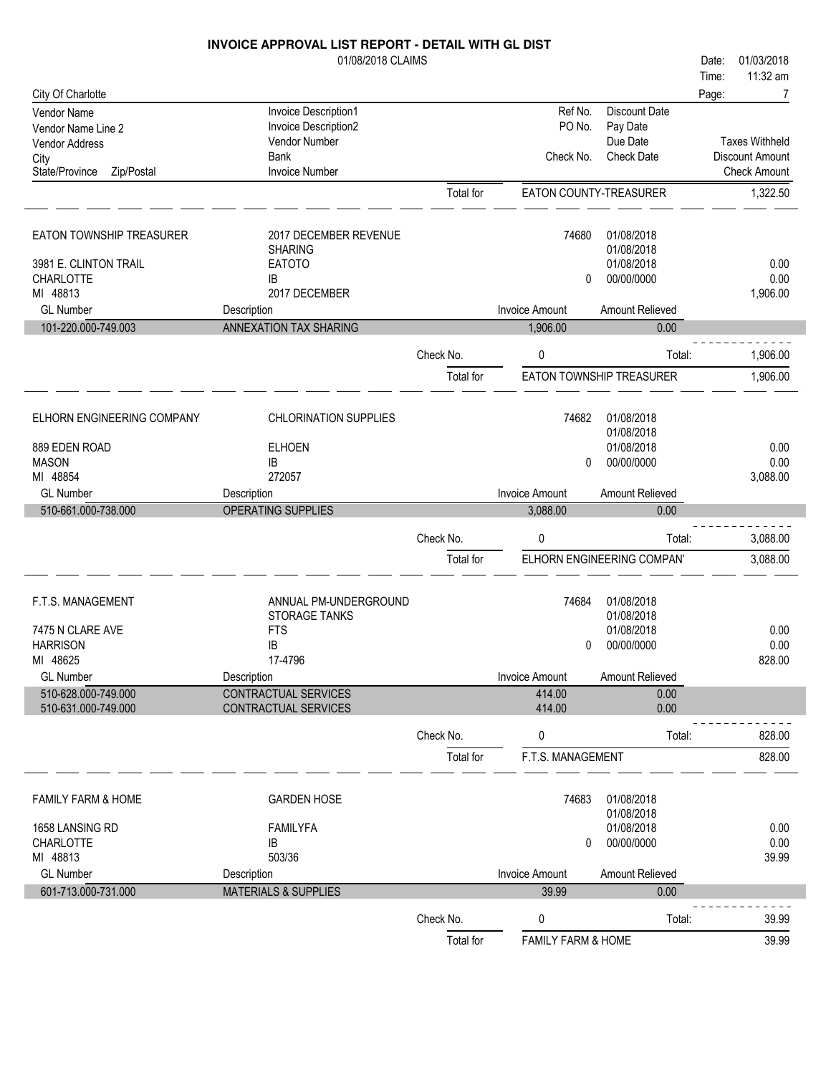|                                            | <b>INVOICE APPROVAL LIST REPORT - DETAIL WITH GL DIST</b> |                        |                         |                            |                       |
|--------------------------------------------|-----------------------------------------------------------|------------------------|-------------------------|----------------------------|-----------------------|
|                                            | 01/08/2018 CLAIMS                                         |                        |                         |                            | 01/03/2018<br>Date:   |
|                                            |                                                           |                        |                         |                            | 11:32 am<br>Time:     |
| City Of Charlotte                          |                                                           |                        |                         |                            | Page:<br>7            |
| Vendor Name                                | Invoice Description1                                      |                        | Ref No.                 | Discount Date              |                       |
| Vendor Name Line 2                         | Invoice Description2                                      |                        | PO No.                  | Pay Date                   |                       |
| Vendor Address                             | Vendor Number                                             |                        |                         | Due Date                   | <b>Taxes Withheld</b> |
| City                                       | <b>Bank</b>                                               |                        | Check No.               | <b>Check Date</b>          | Discount Amount       |
| State/Province<br>Zip/Postal               | <b>Invoice Number</b>                                     |                        |                         |                            | <b>Check Amount</b>   |
|                                            |                                                           | Total for              | EATON COUNTY-TREASURER  |                            | 1,322.50              |
| EATON TOWNSHIP TREASURER                   | 2017 DECEMBER REVENUE                                     |                        | 74680                   | 01/08/2018                 |                       |
|                                            | <b>SHARING</b>                                            |                        |                         | 01/08/2018                 |                       |
| 3981 E. CLINTON TRAIL                      | <b>EATOTO</b>                                             |                        |                         | 01/08/2018                 | 0.00                  |
| CHARLOTTE                                  | ΙB                                                        |                        | 0                       | 00/00/0000                 | 0.00                  |
| MI 48813                                   | 2017 DECEMBER                                             |                        |                         |                            | 1,906.00              |
| <b>GL Number</b>                           | Description                                               |                        | <b>Invoice Amount</b>   | Amount Relieved            |                       |
| 101-220.000-749.003                        | <b>ANNEXATION TAX SHARING</b>                             |                        | 1,906.00                | 0.00                       |                       |
|                                            |                                                           | Check No.              | $\mathbf{0}$            | Total:                     | 1,906.00              |
|                                            |                                                           | Total for              |                         | EATON TOWNSHIP TREASURER   | 1,906.00              |
|                                            |                                                           |                        |                         |                            |                       |
| ELHORN ENGINEERING COMPANY                 | <b>CHLORINATION SUPPLIES</b>                              |                        | 74682                   | 01/08/2018<br>01/08/2018   |                       |
| 889 EDEN ROAD                              | <b>ELHOEN</b>                                             |                        |                         | 01/08/2018                 | 0.00                  |
| <b>MASON</b>                               | ΙB                                                        |                        | 0                       | 00/00/0000                 | 0.00                  |
| MI 48854                                   | 272057                                                    |                        |                         |                            | 3,088.00              |
| <b>GL Number</b>                           | Description                                               |                        | <b>Invoice Amount</b>   | Amount Relieved            |                       |
|                                            |                                                           |                        |                         |                            |                       |
| 510-661.000-738.000                        | OPERATING SUPPLIES                                        |                        | 3,088.00                | 0.00                       |                       |
|                                            |                                                           |                        |                         |                            |                       |
|                                            |                                                           | Check No.              | 0                       | Total:                     | 3,088.00              |
|                                            |                                                           | Total for              |                         | ELHORN ENGINEERING COMPANY | 3,088.00              |
| F.T.S. MANAGEMENT                          | ANNUAL PM-UNDERGROUND                                     |                        | 74684                   | 01/08/2018                 |                       |
|                                            | STORAGE TANKS                                             |                        |                         | 01/08/2018                 |                       |
| 7475 N CLARE AVE                           | <b>FTS</b>                                                |                        |                         | 01/08/2018                 | 0.00                  |
| <b>HARRISON</b>                            | ΙB                                                        |                        | $\mathbf{0}$            | 00/00/0000                 | 0.00                  |
| MI 48625                                   | 17-4796                                                   |                        |                         |                            | 828.00                |
| <b>GL</b> Number                           | Description                                               |                        | <b>Invoice Amount</b>   | Amount Relieved            |                       |
| 510-628.000-749.000<br>510-631.000-749.000 | CONTRACTUAL SERVICES<br><b>CONTRACTUAL SERVICES</b>       |                        | 414.00<br>414.00        | 0.00<br>0.00               |                       |
|                                            |                                                           | Check No.              | 0                       | Total:                     | 828.00                |
|                                            |                                                           | Total for              | F.T.S. MANAGEMENT       |                            | 828.00                |
|                                            |                                                           |                        |                         |                            |                       |
| <b>FAMILY FARM &amp; HOME</b>              | <b>GARDEN HOSE</b>                                        |                        | 74683                   | 01/08/2018<br>01/08/2018   |                       |
| 1658 LANSING RD                            | <b>FAMILYFA</b>                                           |                        |                         | 01/08/2018                 | 0.00                  |
| <b>CHARLOTTE</b>                           | IB                                                        |                        | 0                       | 00/00/0000                 | 0.00                  |
| MI 48813                                   | 503/36                                                    |                        |                         |                            | 39.99                 |
| <b>GL Number</b>                           | Description                                               |                        | <b>Invoice Amount</b>   | Amount Relieved            |                       |
| 601-713.000-731.000                        | <b>MATERIALS &amp; SUPPLIES</b>                           |                        | 39.99                   | 0.00                       |                       |
|                                            |                                                           |                        |                         |                            |                       |
|                                            |                                                           | Check No.<br>Total for | 0<br>FAMILY FARM & HOME | Total:                     | 39.99<br>39.99        |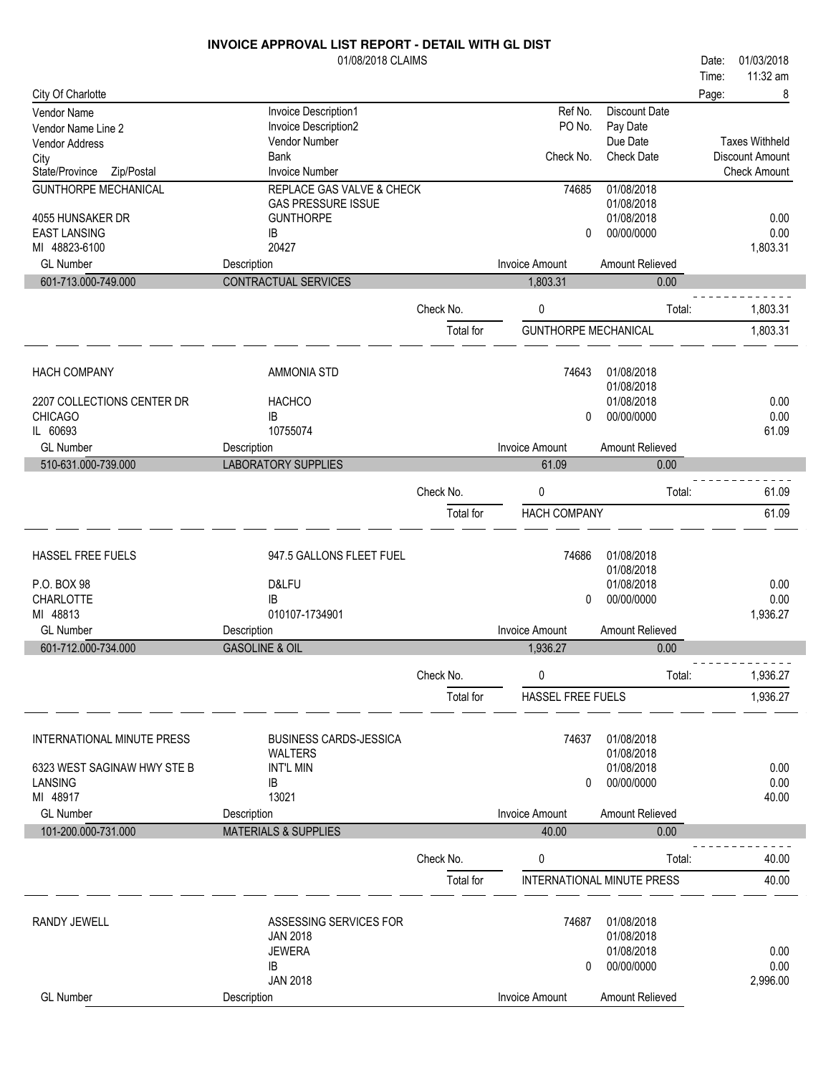|                                             | 01/08/2018 CLAIMS                     |           |                             |                                   | Date: | 01/03/2018            |
|---------------------------------------------|---------------------------------------|-----------|-----------------------------|-----------------------------------|-------|-----------------------|
|                                             |                                       |           |                             |                                   | Time: | 11:32 am              |
| City Of Charlotte                           |                                       |           |                             |                                   | Page: | 8                     |
| Vendor Name                                 | Invoice Description1                  |           | Ref No.                     | <b>Discount Date</b>              |       |                       |
| Vendor Name Line 2<br><b>Vendor Address</b> | Invoice Description2<br>Vendor Number |           | PO No.                      | Pay Date<br>Due Date              |       | <b>Taxes Withheld</b> |
| City                                        | <b>Bank</b>                           |           | Check No.                   | Check Date                        |       | Discount Amount       |
| State/Province<br>Zip/Postal                | <b>Invoice Number</b>                 |           |                             |                                   |       | <b>Check Amount</b>   |
| <b>GUNTHORPE MECHANICAL</b>                 | REPLACE GAS VALVE & CHECK             |           | 74685                       | 01/08/2018                        |       |                       |
|                                             | <b>GAS PRESSURE ISSUE</b>             |           |                             | 01/08/2018                        |       |                       |
| 4055 HUNSAKER DR                            | <b>GUNTHORPE</b>                      |           |                             | 01/08/2018                        |       | 0.00                  |
| <b>EAST LANSING</b><br>MI 48823-6100        | IB<br>20427                           |           | 0                           | 00/00/0000                        |       | 0.00<br>1,803.31      |
| <b>GL</b> Number                            | Description                           |           | <b>Invoice Amount</b>       | Amount Relieved                   |       |                       |
| 601-713.000-749.000                         | CONTRACTUAL SERVICES                  |           | 1,803.31                    | 0.00                              |       |                       |
|                                             |                                       |           |                             |                                   |       |                       |
|                                             |                                       | Check No. | 0                           | Total:                            |       | 1,803.31              |
|                                             |                                       | Total for | <b>GUNTHORPE MECHANICAL</b> |                                   |       | 1,803.31              |
|                                             |                                       |           |                             |                                   |       |                       |
| <b>HACH COMPANY</b>                         | <b>AMMONIA STD</b>                    |           | 74643                       | 01/08/2018                        |       |                       |
|                                             |                                       |           |                             | 01/08/2018                        |       |                       |
| 2207 COLLECTIONS CENTER DR                  | <b>HACHCO</b>                         |           |                             | 01/08/2018                        |       | 0.00                  |
| <b>CHICAGO</b>                              | IB                                    |           | $\mathbf{0}$                | 00/00/0000                        |       | 0.00                  |
| IL 60693                                    | 10755074                              |           |                             |                                   |       | 61.09                 |
| <b>GL Number</b>                            | Description                           |           | <b>Invoice Amount</b>       | Amount Relieved                   |       |                       |
| 510-631.000-739.000                         | <b>LABORATORY SUPPLIES</b>            |           | 61.09                       | 0.00                              |       |                       |
|                                             |                                       | Check No. | 0                           | Total:                            |       | 61.09                 |
|                                             |                                       | Total for | <b>HACH COMPANY</b>         |                                   |       | 61.09                 |
|                                             |                                       |           |                             |                                   |       |                       |
|                                             |                                       |           |                             |                                   |       |                       |
| HASSEL FREE FUELS                           | 947.5 GALLONS FLEET FUEL              |           | 74686                       | 01/08/2018<br>01/08/2018          |       |                       |
| P.O. BOX 98                                 | D&LFU                                 |           |                             | 01/08/2018                        |       | 0.00                  |
| CHARLOTTE                                   | <b>IB</b>                             |           | 0                           | 00/00/0000                        |       | 0.00                  |
| MI 48813                                    | 010107-1734901                        |           |                             |                                   |       | 1,936.27              |
| <b>GL Number</b>                            | Description                           |           | <b>Invoice Amount</b>       | Amount Relieved                   |       |                       |
| 601-712.000-734.000                         | <b>GASOLINE &amp; OIL</b>             |           | 1,936.27                    | 0.00                              |       |                       |
|                                             |                                       | Check No. | 0                           | Total:                            |       | 1,936.27              |
|                                             |                                       | Total for | HASSEL FREE FUELS           |                                   |       | 1,936.27              |
|                                             |                                       |           |                             |                                   |       |                       |
|                                             |                                       |           |                             |                                   |       |                       |
| INTERNATIONAL MINUTE PRESS                  | <b>BUSINESS CARDS-JESSICA</b>         |           | 74637                       | 01/08/2018<br>01/08/2018          |       |                       |
| 6323 WEST SAGINAW HWY STE B                 | <b>WALTERS</b><br><b>INT'L MIN</b>    |           |                             | 01/08/2018                        |       | 0.00                  |
| LANSING                                     | IB                                    |           | 0                           | 00/00/0000                        |       | 0.00                  |
| MI 48917                                    | 13021                                 |           |                             |                                   |       | 40.00                 |
| <b>GL Number</b>                            | Description                           |           | <b>Invoice Amount</b>       | Amount Relieved                   |       |                       |
| 101-200.000-731.000                         | <b>MATERIALS &amp; SUPPLIES</b>       |           | 40.00                       | 0.00                              |       |                       |
|                                             |                                       |           |                             |                                   |       |                       |
|                                             |                                       | Check No. | 0                           | Total:                            |       | 40.00                 |
|                                             |                                       | Total for |                             | <b>INTERNATIONAL MINUTE PRESS</b> |       | 40.00                 |
|                                             |                                       |           |                             |                                   |       |                       |
| RANDY JEWELL                                | ASSESSING SERVICES FOR                |           | 74687                       | 01/08/2018                        |       |                       |
|                                             | <b>JAN 2018</b>                       |           |                             | 01/08/2018                        |       |                       |
|                                             | <b>JEWERA</b>                         |           |                             | 01/08/2018<br>00/00/0000          |       | 0.00<br>0.00          |
|                                             | IB<br><b>JAN 2018</b>                 |           | 0                           |                                   |       | 2,996.00              |
| <b>GL Number</b>                            | Description                           |           | <b>Invoice Amount</b>       | Amount Relieved                   |       |                       |
|                                             |                                       |           |                             |                                   |       |                       |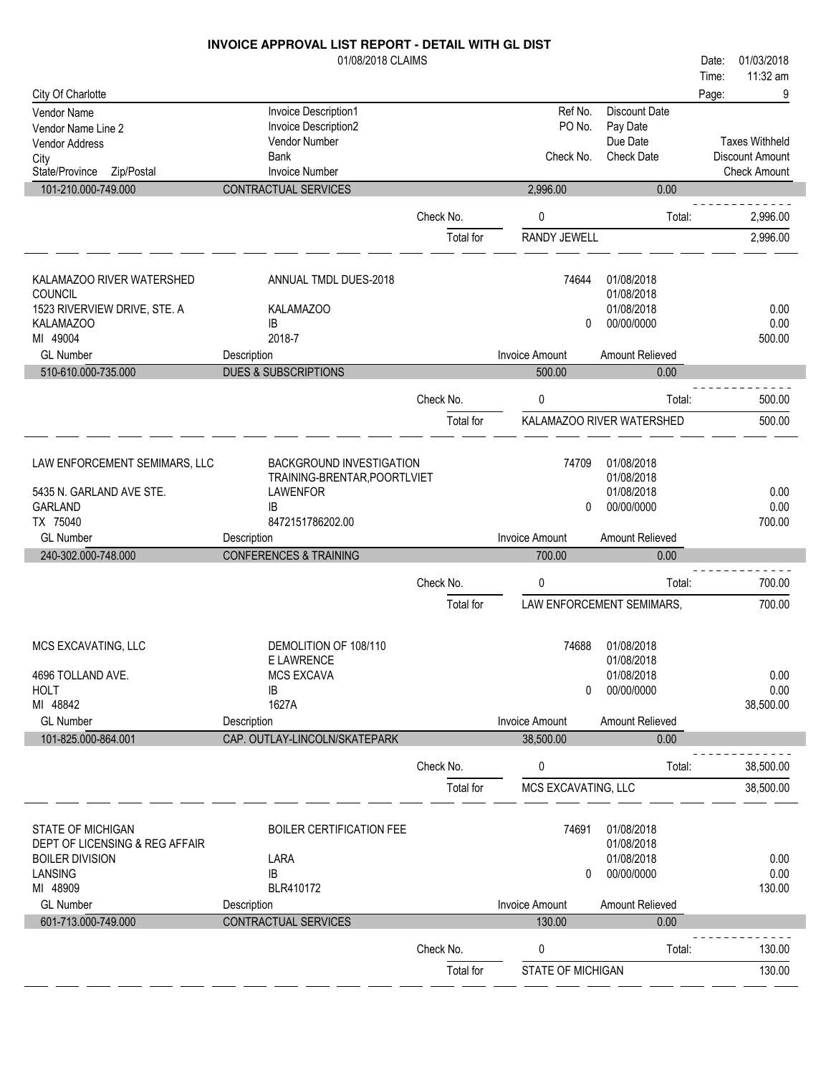|                                | 01/08/2018 CLAIMS                 |                        |                        |                           | 01/03/2018<br>Date:   |
|--------------------------------|-----------------------------------|------------------------|------------------------|---------------------------|-----------------------|
|                                |                                   |                        |                        |                           | 11:32 am<br>Time:     |
| City Of Charlotte              |                                   |                        |                        |                           | 9<br>Page:            |
| Vendor Name                    | Invoice Description1              |                        | Ref No.                | <b>Discount Date</b>      |                       |
| Vendor Name Line 2             | Invoice Description2              |                        | PO No.                 | Pay Date                  |                       |
| <b>Vendor Address</b>          | <b>Vendor Number</b>              |                        |                        | Due Date                  | <b>Taxes Withheld</b> |
| City                           | <b>Bank</b>                       |                        | Check No.              | <b>Check Date</b>         | Discount Amount       |
| State/Province<br>Zip/Postal   | <b>Invoice Number</b>             |                        |                        |                           | <b>Check Amount</b>   |
| 101-210.000-749.000            | CONTRACTUAL SERVICES              |                        | 2,996.00               | 0.00                      |                       |
|                                |                                   | Check No.              |                        | Total:                    | 2,996.00              |
|                                |                                   |                        | 0                      |                           |                       |
|                                |                                   | Total for              | <b>RANDY JEWELL</b>    |                           | 2,996.00              |
|                                |                                   |                        |                        |                           |                       |
| KALAMAZOO RIVER WATERSHED      | ANNUAL TMDL DUES-2018             |                        | 74644                  | 01/08/2018                |                       |
| COUNCIL                        |                                   |                        |                        | 01/08/2018                |                       |
| 1523 RIVERVIEW DRIVE, STE. A   | KALAMAZOO                         |                        |                        | 01/08/2018                | 0.00                  |
| <b>KALAMAZOO</b>               | <b>IB</b>                         |                        | 0                      | 00/00/0000                | 0.00                  |
| MI 49004                       | 2018-7                            |                        |                        |                           | 500.00                |
| <b>GL Number</b>               | Description                       |                        | <b>Invoice Amount</b>  | Amount Relieved           |                       |
| 510-610.000-735.000            | <b>DUES &amp; SUBSCRIPTIONS</b>   |                        | 500.00                 | 0.00                      |                       |
|                                |                                   | Check No.              | 0                      | Total:                    | 500.00                |
|                                |                                   | Total for              |                        | KALAMAZOO RIVER WATERSHED | 500.00                |
|                                |                                   |                        |                        |                           |                       |
| LAW ENFORCEMENT SEMIMARS, LLC  | BACKGROUND INVESTIGATION          |                        | 74709                  | 01/08/2018                |                       |
|                                | TRAINING-BRENTAR, POORTLVIET      |                        |                        | 01/08/2018                |                       |
| 5435 N. GARLAND AVE STE.       | <b>LAWENFOR</b>                   |                        |                        | 01/08/2018                | 0.00                  |
| <b>GARLAND</b>                 | IB                                |                        | 0                      | 00/00/0000                | 0.00                  |
| TX 75040                       | 8472151786202.00                  |                        |                        |                           | 700.00                |
|                                |                                   |                        |                        |                           |                       |
| <b>GL Number</b>               | Description                       |                        | <b>Invoice Amount</b>  | Amount Relieved           |                       |
| 240-302.000-748.000            | <b>CONFERENCES &amp; TRAINING</b> |                        | 700.00                 | 0.00                      |                       |
|                                |                                   |                        |                        |                           |                       |
|                                |                                   | Check No.              | 0                      | Total:                    | 700.00                |
|                                |                                   | Total for              |                        | LAW ENFORCEMENT SEMIMARS, | 700.00                |
|                                |                                   |                        |                        |                           |                       |
| MCS EXCAVATING, LLC            | DEMOLITION OF 108/110             |                        | 74688                  | 01/08/2018                |                       |
|                                | E LAWRENCE                        |                        |                        | 01/08/2018                |                       |
| 4696 TOLLAND AVE.              | <b>MCS EXCAVA</b>                 |                        |                        | 01/08/2018                | 0.00                  |
| <b>HOLT</b>                    | IB                                |                        | 0                      | 00/00/0000                | 0.00                  |
| MI 48842                       | 1627A                             |                        |                        |                           | 38,500.00             |
| <b>GL Number</b>               | Description                       |                        | <b>Invoice Amount</b>  | Amount Relieved           |                       |
| 101-825.000-864.001            | CAP. OUTLAY-LINCOLN/SKATEPARK     |                        | 38,500.00              | 0.00                      |                       |
|                                |                                   | Check No.              | 0                      | Total:                    | 38,500.00             |
|                                |                                   | Total for              | MCS EXCAVATING, LLC    |                           | 38,500.00             |
|                                |                                   |                        |                        |                           |                       |
| <b>STATE OF MICHIGAN</b>       | <b>BOILER CERTIFICATION FEE</b>   |                        | 74691                  | 01/08/2018                |                       |
| DEPT OF LICENSING & REG AFFAIR |                                   |                        |                        | 01/08/2018                |                       |
| <b>BOILER DIVISION</b>         | LARA                              |                        |                        | 01/08/2018                | 0.00                  |
| <b>LANSING</b>                 | IB                                |                        | 0                      | 00/00/0000                | 0.00                  |
| MI 48909                       | BLR410172                         |                        |                        |                           | 130.00                |
| <b>GL Number</b>               | Description                       |                        | <b>Invoice Amount</b>  | Amount Relieved           |                       |
| 601-713.000-749.000            | CONTRACTUAL SERVICES              |                        | 130.00                 | 0.00                      |                       |
|                                |                                   |                        |                        |                           |                       |
|                                |                                   | Check No.<br>Total for | 0<br>STATE OF MICHIGAN | Total:                    | 130.00<br>130.00      |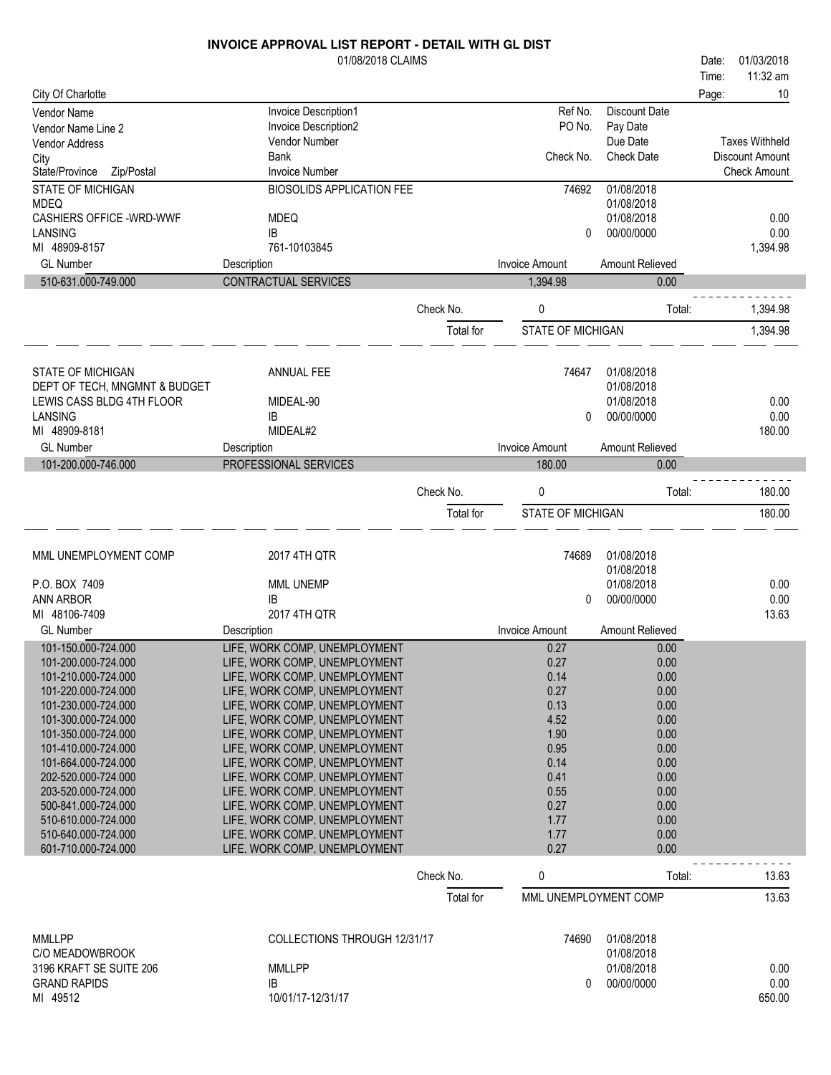|                                            | 01/08/2018 CLAIMS                                              |           |                          |                      | Date: | 01/03/2018             |
|--------------------------------------------|----------------------------------------------------------------|-----------|--------------------------|----------------------|-------|------------------------|
|                                            |                                                                |           |                          |                      | Time: | 11:32 am               |
| City Of Charlotte                          |                                                                |           |                          |                      | Page: | 10                     |
| Vendor Name                                | Invoice Description1                                           |           | Ref No.                  | <b>Discount Date</b> |       |                        |
| Vendor Name Line 2                         | Invoice Description2                                           |           | PO No.                   | Pay Date             |       |                        |
| Vendor Address                             | Vendor Number                                                  |           |                          | Due Date             |       | <b>Taxes Withheld</b>  |
| City                                       | <b>Bank</b>                                                    |           | Check No.                | <b>Check Date</b>    |       | <b>Discount Amount</b> |
| State/Province<br>Zip/Postal               | <b>Invoice Number</b>                                          |           |                          |                      |       | <b>Check Amount</b>    |
| <b>STATE OF MICHIGAN</b>                   | <b>BIOSOLIDS APPLICATION FEE</b>                               |           | 74692                    | 01/08/2018           |       |                        |
| <b>MDEQ</b>                                |                                                                |           |                          | 01/08/2018           |       |                        |
| <b>CASHIERS OFFICE -WRD-WWF</b><br>LANSING | <b>MDEQ</b><br>IB                                              |           | 0                        | 01/08/2018           |       | 0.00<br>0.00           |
| MI 48909-8157                              | 761-10103845                                                   |           |                          | 00/00/0000           |       | 1,394.98               |
| <b>GL Number</b>                           | Description                                                    |           | <b>Invoice Amount</b>    | Amount Relieved      |       |                        |
| 510-631.000-749.000                        | CONTRACTUAL SERVICES                                           |           | 1,394.98                 |                      |       |                        |
|                                            |                                                                |           |                          | 0.00                 |       |                        |
|                                            |                                                                | Check No. | 0                        | Total:               |       | 1,394.98               |
|                                            |                                                                |           |                          |                      |       |                        |
|                                            |                                                                | Total for | <b>STATE OF MICHIGAN</b> |                      |       | 1,394.98               |
|                                            |                                                                |           |                          |                      |       |                        |
| <b>STATE OF MICHIGAN</b>                   | <b>ANNUAL FEE</b>                                              |           | 74647                    | 01/08/2018           |       |                        |
| DEPT OF TECH, MNGMNT & BUDGET              |                                                                |           |                          | 01/08/2018           |       |                        |
| LEWIS CASS BLDG 4TH FLOOR                  | MIDEAL-90                                                      |           |                          | 01/08/2018           |       | 0.00                   |
| <b>LANSING</b>                             | IB                                                             |           | 0                        | 00/00/0000           |       | 0.00                   |
| MI 48909-8181                              | MIDEAL#2                                                       |           |                          |                      |       | 180.00                 |
| <b>GL Number</b>                           | Description                                                    |           | <b>Invoice Amount</b>    | Amount Relieved      |       |                        |
| 101-200.000-746.000                        | PROFESSIONAL SERVICES                                          |           | 180.00                   | 0.00                 |       |                        |
|                                            |                                                                |           |                          |                      |       |                        |
|                                            |                                                                | Check No. | 0                        | Total:               |       | 180.00                 |
|                                            |                                                                | Total for | STATE OF MICHIGAN        |                      |       | 180.00                 |
|                                            |                                                                |           |                          |                      |       |                        |
|                                            |                                                                |           |                          |                      |       |                        |
| MML UNEMPLOYMENT COMP                      | 2017 4TH QTR                                                   |           | 74689                    | 01/08/2018           |       |                        |
|                                            | MML UNEMP                                                      |           |                          | 01/08/2018           |       | 0.00                   |
| P.O. BOX 7409                              |                                                                |           |                          |                      |       |                        |
|                                            |                                                                |           |                          | 01/08/2018           |       |                        |
| <b>ANN ARBOR</b>                           | IB                                                             |           | 0                        | 00/00/0000           |       | 0.00                   |
| MI 48106-7409                              | 2017 4TH QTR                                                   |           |                          |                      |       | 13.63                  |
| <b>GL Number</b>                           | Description                                                    |           | <b>Invoice Amount</b>    | Amount Relieved      |       |                        |
| 101-150.000-724.000                        | LIFE, WORK COMP, UNEMPLOYMENT                                  |           | 0.27                     | 0.00                 |       |                        |
| 101-200.000-724.000                        | LIFE, WORK COMP, UNEMPLOYMENT                                  |           | 0.27                     | 0.00                 |       |                        |
| 101-210.000-724.000                        | LIFE, WORK COMP, UNEMPLOYMENT                                  |           | 0.14                     | 0.00                 |       |                        |
| 101-220.000-724.000<br>101-230.000-724.000 | LIFE, WORK COMP, UNEMPLOYMENT                                  |           | 0.27                     | 0.00                 |       |                        |
| 101-300.000-724.000                        | LIFE, WORK COMP, UNEMPLOYMENT<br>LIFE, WORK COMP, UNEMPLOYMENT |           | 0.13<br>4.52             | 0.00<br>0.00         |       |                        |
| 101-350.000-724.000                        | LIFE, WORK COMP, UNEMPLOYMENT                                  |           | 1.90                     | 0.00                 |       |                        |
| 101-410.000-724.000                        | LIFE, WORK COMP, UNEMPLOYMENT                                  |           | 0.95                     | 0.00                 |       |                        |
| 101-664.000-724.000                        | LIFE, WORK COMP, UNEMPLOYMENT                                  |           | 0.14                     | 0.00                 |       |                        |
| 202-520.000-724.000                        | LIFE, WORK COMP, UNEMPLOYMENT                                  |           | 0.41                     | 0.00                 |       |                        |
| 203-520.000-724.000                        | LIFE, WORK COMP, UNEMPLOYMENT                                  |           | 0.55                     | 0.00                 |       |                        |
| 500-841.000-724.000                        | LIFE, WORK COMP, UNEMPLOYMENT                                  |           | 0.27                     | 0.00                 |       |                        |
| 510-610.000-724.000                        | LIFE, WORK COMP, UNEMPLOYMENT                                  |           | 1.77                     | 0.00                 |       |                        |
| 510-640.000-724.000                        | LIFE, WORK COMP, UNEMPLOYMENT                                  |           | 1.77                     | 0.00                 |       |                        |
| 601-710.000-724.000                        | LIFE, WORK COMP, UNEMPLOYMENT                                  |           | 0.27                     | 0.00                 |       |                        |
|                                            |                                                                | Check No. |                          | Total:               |       | 13.63                  |
|                                            |                                                                |           | 0                        |                      |       |                        |
|                                            |                                                                | Total for | MML UNEMPLOYMENT COMP    |                      |       | 13.63                  |
|                                            |                                                                |           |                          |                      |       |                        |
| <b>MMLLPP</b>                              | COLLECTIONS THROUGH 12/31/17                                   |           | 74690                    | 01/08/2018           |       |                        |
| C/O MEADOWBROOK                            |                                                                |           |                          | 01/08/2018           |       |                        |
| 3196 KRAFT SE SUITE 206                    | <b>MMLLPP</b>                                                  |           |                          | 01/08/2018           |       | 0.00                   |
| <b>GRAND RAPIDS</b>                        | IB                                                             |           | 0                        | 00/00/0000           |       | 0.00                   |
| MI 49512                                   | 10/01/17-12/31/17                                              |           |                          |                      |       | 650.00                 |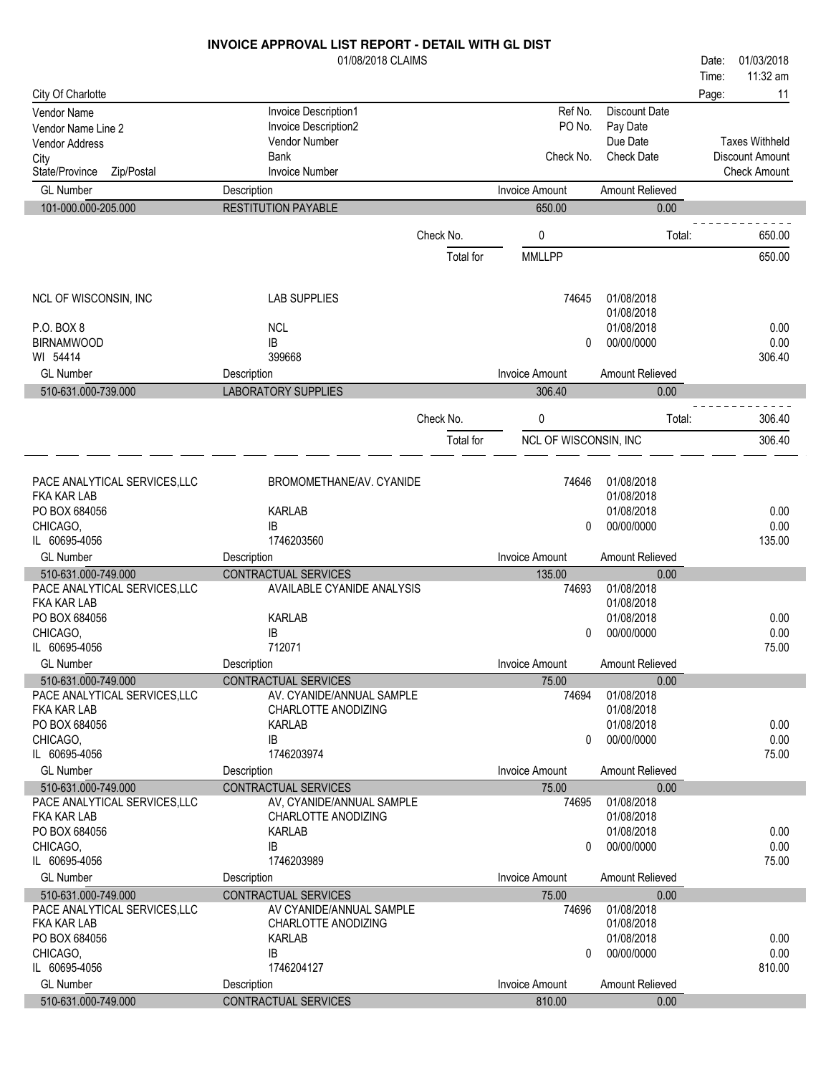|                                              | 01/08/2018 CLAIMS                               |           |                       |                    | Date: | 01/03/2018             |
|----------------------------------------------|-------------------------------------------------|-----------|-----------------------|--------------------|-------|------------------------|
|                                              |                                                 |           |                       |                    | Time: | 11:32 am               |
| City Of Charlotte                            |                                                 |           |                       |                    | Page: | 11                     |
| <b>Vendor Name</b>                           | Invoice Description1                            |           | Ref No.               | Discount Date      |       |                        |
| Vendor Name Line 2                           | Invoice Description2                            |           | PO No.                | Pay Date           |       |                        |
| <b>Vendor Address</b>                        | Vendor Number                                   |           |                       | Due Date           |       | <b>Taxes Withheld</b>  |
| City                                         | <b>Bank</b>                                     |           | Check No.             | <b>Check Date</b>  |       | <b>Discount Amount</b> |
| State/Province<br>Zip/Postal                 | <b>Invoice Number</b>                           |           |                       |                    |       | <b>Check Amount</b>    |
| <b>GL Number</b>                             | Description                                     |           | <b>Invoice Amount</b> | Amount Relieved    |       |                        |
| 101-000.000-205.000                          | <b>RESTITUTION PAYABLE</b>                      |           | 650.00                | 0.00               |       |                        |
|                                              |                                                 |           |                       |                    |       |                        |
|                                              |                                                 | Check No. | 0                     | Total:             |       | 650.00                 |
|                                              |                                                 | Total for | <b>MMLLPP</b>         |                    |       | 650.00                 |
| NCL OF WISCONSIN, INC                        | <b>LAB SUPPLIES</b>                             |           | 74645                 | 01/08/2018         |       |                        |
|                                              |                                                 |           |                       | 01/08/2018         |       |                        |
| P.O. BOX 8                                   | <b>NCL</b>                                      |           |                       | 01/08/2018         |       | 0.00                   |
| <b>BIRNAMWOOD</b>                            | IB                                              |           | 0                     | 00/00/0000         |       | 0.00                   |
| WI 54414                                     | 399668                                          |           |                       |                    |       | 306.40                 |
| <b>GL Number</b>                             | Description                                     |           | <b>Invoice Amount</b> | Amount Relieved    |       |                        |
| 510-631.000-739.000                          | <b>LABORATORY SUPPLIES</b>                      |           | 306.40                | 0.00               |       |                        |
|                                              |                                                 | Check No. | 0                     | Total:             |       | 306.40                 |
|                                              |                                                 | Total for | NCL OF WISCONSIN, INC |                    |       | 306.40                 |
|                                              |                                                 |           |                       |                    |       |                        |
| PACE ANALYTICAL SERVICES, LLC                | BROMOMETHANE/AV. CYANIDE                        |           | 74646                 | 01/08/2018         |       |                        |
| <b>FKA KAR LAB</b>                           |                                                 |           |                       | 01/08/2018         |       |                        |
| PO BOX 684056                                | <b>KARLAB</b>                                   |           |                       | 01/08/2018         |       | 0.00                   |
| CHICAGO,                                     | IB                                              |           | 0                     | 00/00/0000         |       | 0.00                   |
| IL 60695-4056                                | 1746203560                                      |           |                       |                    |       | 135.00                 |
| <b>GL Number</b>                             | Description                                     |           | <b>Invoice Amount</b> | Amount Relieved    |       |                        |
| 510-631.000-749.000                          | CONTRACTUAL SERVICES                            |           | 135.00                | 0.00               |       |                        |
| PACE ANALYTICAL SERVICES, LLC                | AVAILABLE CYANIDE ANALYSIS                      |           | 74693                 | 01/08/2018         |       |                        |
| <b>FKA KAR LAB</b>                           |                                                 |           |                       | 01/08/2018         |       |                        |
| PO BOX 684056                                | <b>KARLAB</b>                                   |           |                       | 01/08/2018         |       | 0.00                   |
| CHICAGO,                                     | IB                                              |           | $\Omega$              | 00/00/0000         |       | 0.00                   |
| IL 60695-4056                                | 712071                                          |           |                       |                    |       | 75.00                  |
| <b>GL Number</b>                             | Description                                     |           | Invoice Amount        | Amount Relieved    |       |                        |
| 510-631.000-749.000                          | CONTRACTUAL SERVICES                            |           | 75.00                 | 0.00               |       |                        |
| PACE ANALYTICAL SERVICES, LLC                | AV. CYANIDE/ANNUAL SAMPLE                       |           | 74694                 | 01/08/2018         |       |                        |
| <b>FKA KAR LAB</b>                           | CHARLOTTE ANODIZING                             |           |                       | 01/08/2018         |       |                        |
| PO BOX 684056                                | <b>KARLAB</b>                                   |           |                       | 01/08/2018         |       | 0.00                   |
| CHICAGO.                                     | IB                                              |           | $\Omega$              | 00/00/0000         |       | 0.00                   |
| IL 60695-4056                                | 1746203974                                      |           |                       |                    |       | 75.00                  |
| <b>GL Number</b>                             | Description                                     |           | <b>Invoice Amount</b> | Amount Relieved    |       |                        |
| 510-631.000-749.000                          | CONTRACTUAL SERVICES                            |           | 75.00                 | 0.00               |       |                        |
| PACE ANALYTICAL SERVICES, LLC                | AV, CYANIDE/ANNUAL SAMPLE                       |           | 74695                 | 01/08/2018         |       |                        |
| FKA KAR LAB                                  | CHARLOTTE ANODIZING                             |           |                       | 01/08/2018         |       |                        |
| PO BOX 684056                                | <b>KARLAB</b>                                   |           |                       | 01/08/2018         |       | 0.00                   |
| CHICAGO,                                     | IB                                              |           | 0                     | 00/00/0000         |       | 0.00                   |
| IL 60695-4056                                | 1746203989                                      |           |                       |                    |       | 75.00                  |
| <b>GL Number</b>                             | Description                                     |           | <b>Invoice Amount</b> | Amount Relieved    |       |                        |
| 510-631.000-749.000                          | CONTRACTUAL SERVICES                            |           | 75.00<br>74696        | 0.00<br>01/08/2018 |       |                        |
| PACE ANALYTICAL SERVICES, LLC<br>FKA KAR LAB | AV CYANIDE/ANNUAL SAMPLE<br>CHARLOTTE ANODIZING |           |                       | 01/08/2018         |       |                        |
| PO BOX 684056                                | <b>KARLAB</b>                                   |           |                       | 01/08/2018         |       | 0.00                   |
| CHICAGO,                                     | IB                                              |           | 0                     | 00/00/0000         |       | 0.00                   |
| IL 60695-4056                                | 1746204127                                      |           |                       |                    |       | 810.00                 |
| <b>GL Number</b>                             | Description                                     |           | <b>Invoice Amount</b> | Amount Relieved    |       |                        |
|                                              |                                                 |           |                       |                    |       |                        |

510-631.000-749.000 CONTRACTUAL SERVICES 810.00 0.00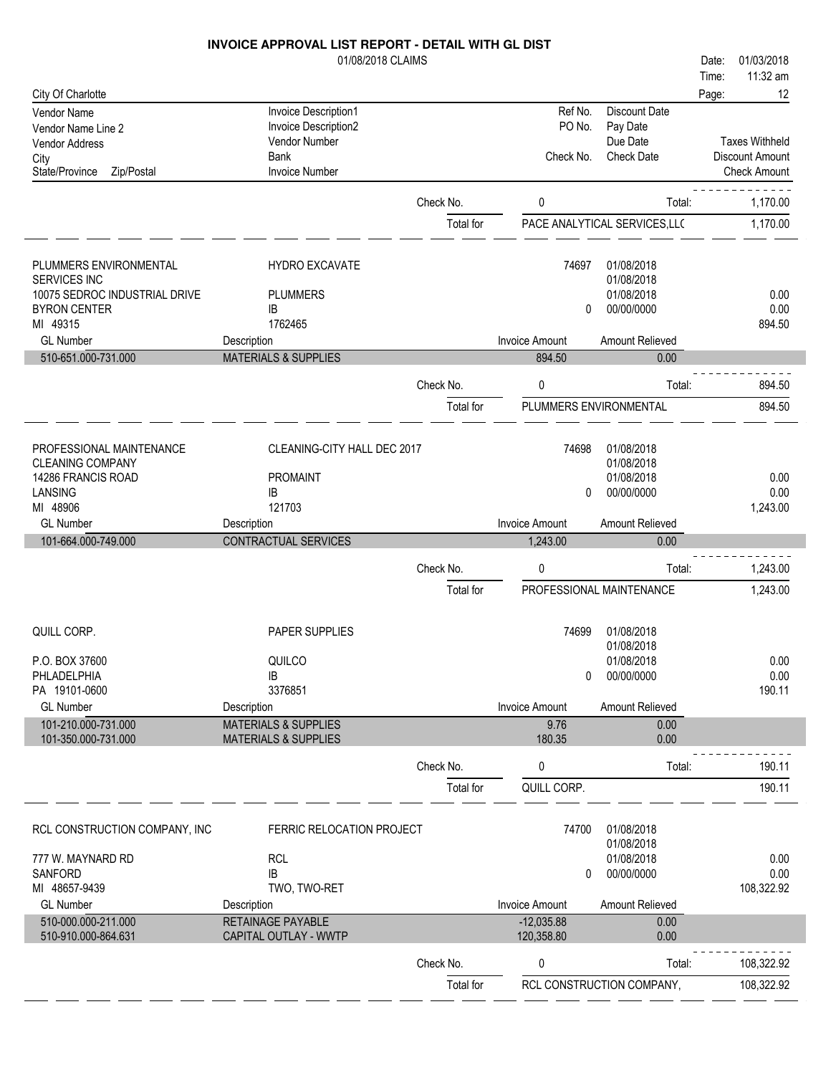## 01/08/2018 CLAIMS City Of Charlotte Time: Date: 01/03/2018 Page: 12 Vendor Name Invoice Description 1<br>
Vendor Name Line 2<br>
Vendor Name Line 2<br>
Invoice Description 2<br>
Invoice Description 2<br>
PO No. Pay Date Vendor Name Line 2 Invoice Description<br>1 Vendor Address Politics Po Number

**INVOICE APPROVAL LIST REPORT - DETAIL WITH GL DIST**

11:32 am

Taxes Withheld

Due Date

| Vendor Address<br>City<br>Zip/Postal<br>State/Province                                                                                                | Vendor Number<br>Bank<br><b>Invoice Number</b>                                                              |           | Check No.                                     | Due Date<br><b>Check Date</b>                                                   | <b>Taxes Withheld</b><br>Discount Amount<br><b>Check Amount</b> |
|-------------------------------------------------------------------------------------------------------------------------------------------------------|-------------------------------------------------------------------------------------------------------------|-----------|-----------------------------------------------|---------------------------------------------------------------------------------|-----------------------------------------------------------------|
|                                                                                                                                                       |                                                                                                             | Check No. | 0                                             | Total:                                                                          | 1,170.00                                                        |
|                                                                                                                                                       |                                                                                                             | Total for |                                               | PACE ANALYTICAL SERVICES, LLC                                                   | 1,170.00                                                        |
| PLUMMERS ENVIRONMENTAL<br>SERVICES INC<br>10075 SEDROC INDUSTRIAL DRIVE<br><b>BYRON CENTER</b><br>MI 49315<br><b>GL Number</b><br>510-651.000-731.000 | <b>HYDRO EXCAVATE</b><br><b>PLUMMERS</b><br>IB<br>1762465<br>Description<br><b>MATERIALS &amp; SUPPLIES</b> |           | 74697<br>0<br><b>Invoice Amount</b><br>894.50 | 01/08/2018<br>01/08/2018<br>01/08/2018<br>00/00/0000<br>Amount Relieved<br>0.00 | 0.00<br>0.00<br>894.50                                          |
|                                                                                                                                                       |                                                                                                             | Check No. | 0                                             | Total:                                                                          | 894.50                                                          |
|                                                                                                                                                       |                                                                                                             | Total for | PLUMMERS ENVIRONMENTAL                        |                                                                                 | 894.50                                                          |
| PROFESSIONAL MAINTENANCE<br><b>CLEANING COMPANY</b><br>14286 FRANCIS ROAD<br>LANSING<br>MI 48906                                                      | CLEANING-CITY HALL DEC 2017<br><b>PROMAINT</b><br>IB<br>121703                                              |           | 74698<br>0                                    | 01/08/2018<br>01/08/2018<br>01/08/2018<br>00/00/0000                            | 0.00<br>0.00<br>1,243.00                                        |
| <b>GL Number</b>                                                                                                                                      | Description                                                                                                 |           | <b>Invoice Amount</b>                         | Amount Relieved                                                                 |                                                                 |
| 101-664.000-749.000                                                                                                                                   | CONTRACTUAL SERVICES                                                                                        |           | 1,243.00                                      | 0.00                                                                            |                                                                 |
|                                                                                                                                                       |                                                                                                             | Check No. | 0                                             | Total:                                                                          | 1,243.00                                                        |
|                                                                                                                                                       |                                                                                                             | Total for |                                               | PROFESSIONAL MAINTENANCE                                                        | 1,243.00                                                        |
| QUILL CORP.<br>P.O. BOX 37600<br>PHLADELPHIA                                                                                                          | PAPER SUPPLIES<br>QUILCO<br>IB                                                                              |           | 74699<br>0                                    | 01/08/2018<br>01/08/2018<br>01/08/2018<br>00/00/0000                            | 0.00<br>0.00                                                    |
| PA 19101-0600<br><b>GL Number</b>                                                                                                                     | 3376851<br>Description                                                                                      |           | <b>Invoice Amount</b>                         | Amount Relieved                                                                 | 190.11                                                          |
| 101-210.000-731.000<br>101-350.000-731.000                                                                                                            | <b>MATERIALS &amp; SUPPLIES</b><br><b>MATERIALS &amp; SUPPLIES</b>                                          |           | 9.76<br>180.35                                | 0.00<br>0.00                                                                    |                                                                 |
|                                                                                                                                                       |                                                                                                             | Check No. | 0                                             | Total:                                                                          | 190.11                                                          |
|                                                                                                                                                       |                                                                                                             | Total for | QUILL CORP.                                   |                                                                                 | 190.11                                                          |
| RCL CONSTRUCTION COMPANY, INC<br>777 W. MAYNARD RD<br>SANFORD<br>MI 48657-9439                                                                        | FERRIC RELOCATION PROJECT<br><b>RCL</b><br>IB<br>TWO, TWO-RET                                               |           | 74700<br>0                                    | 01/08/2018<br>01/08/2018<br>01/08/2018<br>00/00/0000                            | 0.00<br>0.00<br>108,322.92                                      |
| <b>GL Number</b>                                                                                                                                      | Description                                                                                                 |           | Invoice Amount                                | Amount Relieved                                                                 |                                                                 |
| 510-000.000-211.000<br>510-910.000-864.631                                                                                                            | <b>RETAINAGE PAYABLE</b><br>CAPITAL OUTLAY - WWTP                                                           |           | $-12,035.88$<br>120,358.80                    | 0.00<br>0.00                                                                    |                                                                 |
|                                                                                                                                                       |                                                                                                             | Check No. | 0                                             | Total:                                                                          | 108,322.92                                                      |
|                                                                                                                                                       |                                                                                                             | Total for |                                               | RCL CONSTRUCTION COMPANY,                                                       | 108,322.92                                                      |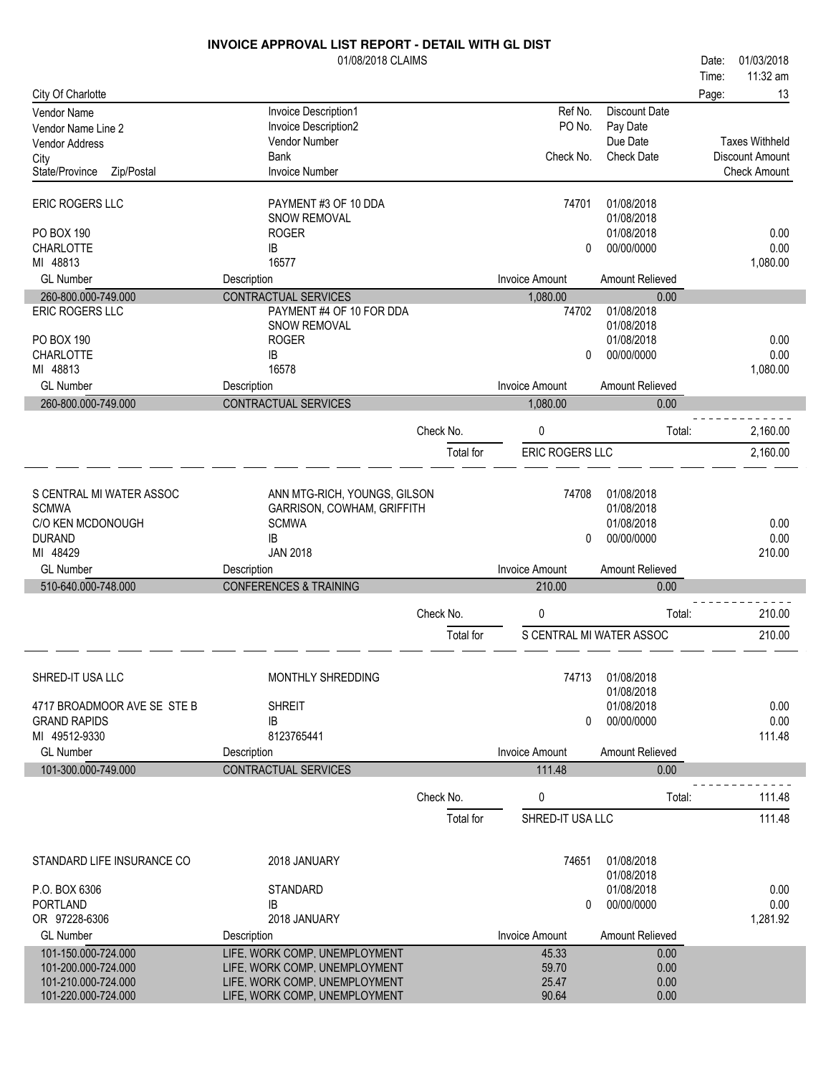|                                   | <b>INVOICE APPROVAL LIST REPORT - DETAIL WITH GL DIST</b> |           |                          |                          |       |                       |
|-----------------------------------|-----------------------------------------------------------|-----------|--------------------------|--------------------------|-------|-----------------------|
|                                   | 01/08/2018 CLAIMS                                         |           |                          |                          | Date: | 01/03/2018            |
|                                   |                                                           |           |                          |                          | Time: | 11:32 am              |
| City Of Charlotte                 |                                                           |           |                          |                          | Page: | 13                    |
| <b>Vendor Name</b>                | Invoice Description1                                      |           | Ref No.                  | Discount Date            |       |                       |
| Vendor Name Line 2                | Invoice Description2                                      |           | PO No.                   | Pay Date                 |       |                       |
| <b>Vendor Address</b>             | Vendor Number                                             |           |                          | Due Date                 |       | <b>Taxes Withheld</b> |
| City                              | <b>Bank</b>                                               |           | Check No.                | <b>Check Date</b>        |       | Discount Amount       |
| State/Province<br>Zip/Postal      | <b>Invoice Number</b>                                     |           |                          |                          |       | <b>Check Amount</b>   |
| <b>ERIC ROGERS LLC</b>            | PAYMENT #3 OF 10 DDA                                      |           | 74701                    | 01/08/2018               |       |                       |
|                                   | SNOW REMOVAL                                              |           |                          | 01/08/2018               |       |                       |
| PO BOX 190                        | <b>ROGER</b>                                              |           |                          | 01/08/2018               |       | 0.00                  |
| <b>CHARLOTTE</b>                  | IB                                                        |           | 0                        | 00/00/0000               |       | 0.00                  |
| MI 48813                          | 16577                                                     |           |                          |                          |       | 1,080.00              |
| <b>GL Number</b>                  | Description                                               |           | <b>Invoice Amount</b>    | Amount Relieved          |       |                       |
| 260-800.000-749.000               | <b>CONTRACTUAL SERVICES</b>                               |           | 1,080.00                 | 0.00                     |       |                       |
| <b>ERIC ROGERS LLC</b>            | PAYMENT #4 OF 10 FOR DDA                                  |           | 74702                    | 01/08/2018<br>01/08/2018 |       |                       |
| PO BOX 190                        | SNOW REMOVAL<br><b>ROGER</b>                              |           |                          | 01/08/2018               |       | 0.00                  |
|                                   | IB                                                        |           | $\Omega$                 | 00/00/0000               |       | 0.00                  |
| <b>CHARLOTTE</b><br>MI 48813      | 16578                                                     |           |                          |                          |       | 1,080.00              |
| <b>GL Number</b>                  | Description                                               |           | <b>Invoice Amount</b>    | Amount Relieved          |       |                       |
| 260-800.000-749.000               | CONTRACTUAL SERVICES                                      |           | 1,080.00                 | 0.00                     |       |                       |
|                                   |                                                           |           |                          |                          |       |                       |
|                                   |                                                           | Check No. | 0                        | Total:                   |       | 2,160.00              |
|                                   |                                                           | Total for | ERIC ROGERS LLC          |                          |       | 2,160.00              |
|                                   |                                                           |           |                          |                          |       |                       |
|                                   |                                                           |           |                          |                          |       |                       |
| S CENTRAL MI WATER ASSOC          | ANN MTG-RICH, YOUNGS, GILSON                              |           | 74708                    | 01/08/2018               |       |                       |
| <b>SCMWA</b><br>C/O KEN MCDONOUGH | GARRISON, COWHAM, GRIFFITH<br><b>SCMWA</b>                |           |                          | 01/08/2018<br>01/08/2018 |       | 0.00                  |
|                                   | IB                                                        |           | 0                        | 00/00/0000               |       | 0.00                  |
| <b>DURAND</b><br>MI 48429         | <b>JAN 2018</b>                                           |           |                          |                          |       | 210.00                |
| <b>GL Number</b>                  | Description                                               |           | <b>Invoice Amount</b>    | Amount Relieved          |       |                       |
| 510-640.000-748.000               | <b>CONFERENCES &amp; TRAINING</b>                         |           | 210.00                   | 0.00                     |       |                       |
|                                   |                                                           |           |                          |                          |       |                       |
|                                   |                                                           | Check No. | 0                        | Total:                   |       | 210.00                |
|                                   |                                                           | Total for | S CENTRAL MI WATER ASSOC |                          |       | 210.00                |
|                                   |                                                           |           |                          |                          |       |                       |
| SHRED-IT USA LLC                  | <b>MONTHLY SHREDDING</b>                                  |           | 74713                    | 01/08/2018<br>01/08/2018 |       |                       |
| 4717 BROADMOOR AVE SE STE B       | <b>SHREIT</b>                                             |           |                          | 01/08/2018               |       | 0.00                  |
| <b>GRAND RAPIDS</b>               | IB                                                        |           | $\Omega$                 | 00/00/0000               |       | 0.00                  |
| MI 49512-9330                     | 8123765441                                                |           |                          |                          |       | 111.48                |
| <b>GL Number</b>                  | Description                                               |           | <b>Invoice Amount</b>    | Amount Relieved          |       |                       |
| 101-300.000-749.000               | CONTRACTUAL SERVICES                                      |           | 111.48                   | 0.00                     |       |                       |
|                                   |                                                           |           |                          |                          |       |                       |
|                                   |                                                           | Check No. | 0                        | Total:                   |       | 111.48                |
|                                   |                                                           | Total for | SHRED-IT USA LLC         |                          |       | 111.48                |
|                                   |                                                           |           |                          |                          |       |                       |
| STANDARD LIFE INSURANCE CO        | 2018 JANUARY                                              |           | 74651                    | 01/08/2018<br>01/08/2018 |       |                       |
| P.O. BOX 6306                     | <b>STANDARD</b>                                           |           |                          | 01/08/2018               |       | 0.00                  |
| <b>PORTLAND</b>                   | <b>IB</b>                                                 |           | 0                        | 00/00/0000               |       | 0.00                  |
| OR 97228-6306                     | 2018 JANUARY                                              |           |                          |                          |       | 1,281.92              |
| <b>GL Number</b>                  | Description                                               |           | <b>Invoice Amount</b>    | Amount Relieved          |       |                       |
| 101-150.000-724.000               | LIFE, WORK COMP, UNEMPLOYMENT                             |           | 45.33                    | 0.00                     |       |                       |
| 101-200.000-724.000               | LIFE, WORK COMP, UNEMPLOYMENT                             |           | 59.70                    | 0.00                     |       |                       |
| 101-210.000-724.000               | LIFE, WORK COMP, UNEMPLOYMENT                             |           | 25.47                    | 0.00                     |       |                       |
| 101-220.000-724.000               | LIFE, WORK COMP, UNEMPLOYMENT                             |           | 90.64                    | 0.00                     |       |                       |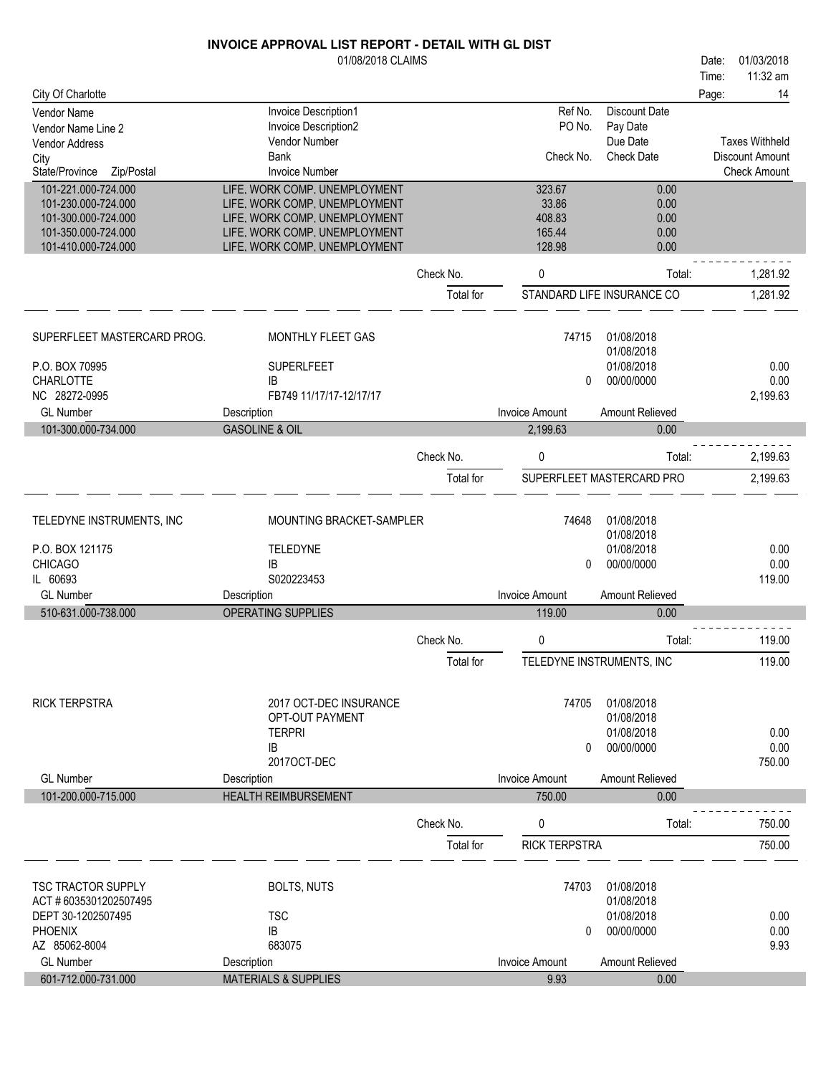|                                      | 01/08/2018 CLAIMS               |           |                       |                               | 01/03/2018<br>Date:                      |
|--------------------------------------|---------------------------------|-----------|-----------------------|-------------------------------|------------------------------------------|
|                                      |                                 |           |                       |                               | 11:32 am<br>Time:                        |
| City Of Charlotte                    |                                 |           |                       |                               | 14<br>Page:                              |
| Vendor Name                          | Invoice Description1            |           | Ref No.               | <b>Discount Date</b>          |                                          |
| Vendor Name Line 2                   | Invoice Description2            |           | PO No.                | Pay Date                      |                                          |
| <b>Vendor Address</b>                | Vendor Number<br><b>Bank</b>    |           | Check No.             | Due Date<br><b>Check Date</b> | <b>Taxes Withheld</b><br>Discount Amount |
| City<br>State/Province<br>Zip/Postal | <b>Invoice Number</b>           |           |                       |                               | <b>Check Amount</b>                      |
| 101-221.000-724.000                  | LIFE, WORK COMP, UNEMPLOYMENT   |           | 323.67                | 0.00                          |                                          |
| 101-230.000-724.000                  | LIFE, WORK COMP, UNEMPLOYMENT   |           | 33.86                 | 0.00                          |                                          |
| 101-300.000-724.000                  | LIFE, WORK COMP, UNEMPLOYMENT   |           | 408.83                | 0.00                          |                                          |
| 101-350.000-724.000                  | LIFE, WORK COMP, UNEMPLOYMENT   |           | 165.44                | 0.00                          |                                          |
| 101-410.000-724.000                  | LIFE, WORK COMP, UNEMPLOYMENT   |           | 128.98                | 0.00                          |                                          |
|                                      |                                 | Check No. | 0                     | Total:                        | 1,281.92                                 |
|                                      |                                 | Total for |                       | STANDARD LIFE INSURANCE CO    | 1,281.92                                 |
| SUPERFLEET MASTERCARD PROG.          | MONTHLY FLEET GAS               |           | 74715                 | 01/08/2018                    |                                          |
|                                      |                                 |           |                       | 01/08/2018                    |                                          |
| P.O. BOX 70995                       | <b>SUPERLFEET</b>               |           |                       | 01/08/2018                    | 0.00                                     |
| CHARLOTTE                            | IB                              |           | 0                     | 00/00/0000                    | 0.00                                     |
| NC 28272-0995                        | FB749 11/17/17-12/17/17         |           |                       |                               | 2,199.63                                 |
| <b>GL Number</b>                     | Description                     |           | <b>Invoice Amount</b> | Amount Relieved               |                                          |
| 101-300.000-734.000                  | <b>GASOLINE &amp; OIL</b>       |           | 2,199.63              | 0.00                          |                                          |
|                                      |                                 | Check No. | 0                     | Total:                        | 2,199.63                                 |
|                                      |                                 | Total for |                       | SUPERFLEET MASTERCARD PRO     | 2,199.63                                 |
| TELEDYNE INSTRUMENTS, INC            | MOUNTING BRACKET-SAMPLER        |           | 74648                 | 01/08/2018                    |                                          |
|                                      |                                 |           |                       | 01/08/2018                    |                                          |
| P.O. BOX 121175                      | TELEDYNE                        |           |                       | 01/08/2018                    | 0.00                                     |
| <b>CHICAGO</b>                       | IB                              |           | 0                     | 00/00/0000                    | 0.00                                     |
| IL 60693                             | S020223453                      |           |                       |                               | 119.00                                   |
| <b>GL Number</b>                     | Description                     |           | <b>Invoice Amount</b> | Amount Relieved               |                                          |
| 510-631.000-738.000                  | OPERATING SUPPLIES              |           | 119.00                | 0.00                          |                                          |
|                                      |                                 | Check No. | 0                     | Total:                        | 119.00                                   |
|                                      |                                 | Total for |                       | TELEDYNE INSTRUMENTS, INC     | 119.00                                   |
| <b>RICK TERPSTRA</b>                 | 2017 OCT-DEC INSURANCE          |           | 74705                 | 01/08/2018                    |                                          |
|                                      | OPT-OUT PAYMENT                 |           |                       | 01/08/2018                    |                                          |
|                                      | <b>TERPRI</b>                   |           |                       | 01/08/2018                    | 0.00                                     |
|                                      | IB                              |           | 0                     | 00/00/0000                    | 0.00<br>750.00                           |
| <b>GL Number</b>                     | 2017OCT-DEC<br>Description      |           | <b>Invoice Amount</b> | Amount Relieved               |                                          |
| 101-200.000-715.000                  | <b>HEALTH REIMBURSEMENT</b>     |           | 750.00                | 0.00                          |                                          |
|                                      |                                 |           |                       |                               |                                          |
|                                      |                                 | Check No. | 0                     | Total:                        | 750.00                                   |
|                                      |                                 | Total for | <b>RICK TERPSTRA</b>  |                               | 750.00                                   |
| <b>TSC TRACTOR SUPPLY</b>            | <b>BOLTS, NUTS</b>              |           | 74703                 | 01/08/2018                    |                                          |
| ACT #6035301202507495                |                                 |           |                       | 01/08/2018                    |                                          |
| DEPT 30-1202507495                   | <b>TSC</b>                      |           |                       | 01/08/2018                    | 0.00                                     |
| <b>PHOENIX</b>                       | IB                              |           | 0                     | 00/00/0000                    | 0.00                                     |
| AZ 85062-8004                        | 683075                          |           |                       |                               | 9.93                                     |
| <b>GL Number</b>                     | Description                     |           | <b>Invoice Amount</b> | Amount Relieved               |                                          |
| 601-712.000-731.000                  | <b>MATERIALS &amp; SUPPLIES</b> |           | 9.93                  | 0.00                          |                                          |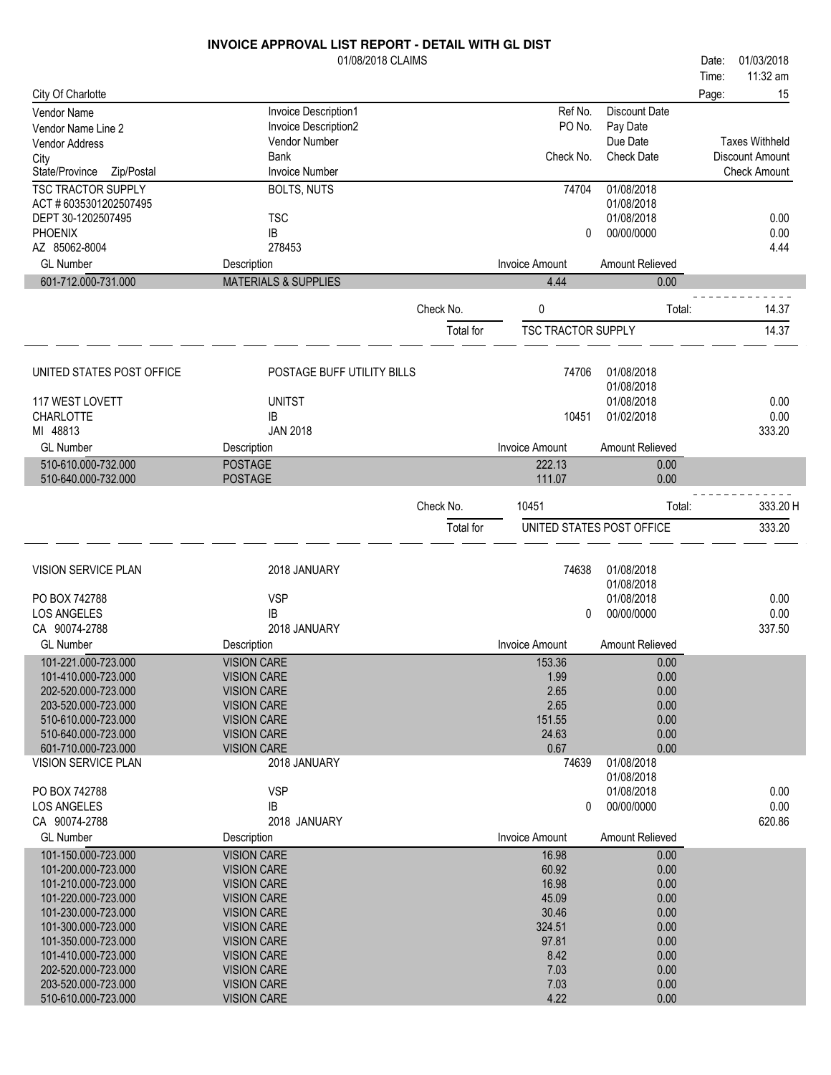| Time:<br>City Of Charlotte<br>15<br>Page:<br>Invoice Description1<br>Ref No.<br><b>Discount Date</b><br>Vendor Name<br>PO No.<br>Invoice Description2<br>Pay Date<br>Vendor Name Line 2<br>Due Date<br><b>Taxes Withheld</b><br>Vendor Number<br><b>Vendor Address</b><br>Bank<br>Check No.<br><b>Check Date</b><br>Discount Amount<br>City<br><b>Invoice Number</b><br><b>Check Amount</b><br>State/Province<br>Zip/Postal<br><b>TSC TRACTOR SUPPLY</b><br>01/08/2018<br><b>BOLTS, NUTS</b><br>74704<br>ACT #6035301202507495<br>01/08/2018<br><b>TSC</b><br>01/08/2018<br>DEPT 30-1202507495<br>0.00<br>00/00/0000<br>0.00<br><b>PHOENIX</b><br>IB<br>0<br>AZ 85062-8004<br>278453<br>4.44<br><b>GL Number</b><br><b>Invoice Amount</b><br>Amount Relieved<br>Description<br>601-712.000-731.000<br><b>MATERIALS &amp; SUPPLIES</b><br>4.44<br>0.00<br>0<br>14.37<br>Check No.<br>Total:<br>14.37<br><b>TSC TRACTOR SUPPLY</b><br>Total for<br>UNITED STATES POST OFFICE<br>POSTAGE BUFF UTILITY BILLS<br>74706<br>01/08/2018<br>01/08/2018<br>117 WEST LOVETT<br><b>UNITST</b><br>01/08/2018<br>0.00<br><b>CHARLOTTE</b><br>01/02/2018<br>0.00<br>IB<br>10451<br>MI 48813<br><b>JAN 2018</b><br>333.20<br><b>GL Number</b><br><b>Invoice Amount</b><br>Amount Relieved<br>Description<br>510-610.000-732.000<br><b>POSTAGE</b><br>222.13<br>0.00<br>0.00<br>510-640.000-732.000<br><b>POSTAGE</b><br>111.07<br>Check No.<br>333.20 H<br>10451<br>Total:<br>UNITED STATES POST OFFICE<br>333.20<br>Total for<br>VISION SERVICE PLAN<br>2018 JANUARY<br>74638<br>01/08/2018<br>01/08/2018<br><b>VSP</b><br>01/08/2018<br>PO BOX 742788<br>0.00<br><b>LOS ANGELES</b><br>IB<br>0.00<br>00/00/0000<br>0<br>CA 90074-2788<br>2018 JANUARY<br>337.50<br><b>GL Number</b><br><b>Invoice Amount</b><br>Amount Relieved<br>Description<br>101-221.000-723.000<br><b>VISION CARE</b><br>153.36<br>0.00<br>101-410.000-723.000<br><b>VISION CARE</b><br>1.99<br>0.00<br>0.00<br>202-520.000-723.000<br>2.65<br><b>VISION CARE</b><br>2.65<br>0.00<br>203-520.000-723.000<br><b>VISION CARE</b><br>510-610.000-723.000<br>151.55<br>0.00<br><b>VISION CARE</b><br>24.63<br>0.00<br>510-640.000-723.000<br><b>VISION CARE</b><br>601-710.000-723.000<br>0.67<br>0.00<br><b>VISION CARE</b><br>VISION SERVICE PLAN<br>2018 JANUARY<br>01/08/2018<br>74639<br>01/08/2018<br><b>VSP</b><br>PO BOX 742788<br>01/08/2018<br>0.00<br>00/00/0000<br>0.00<br><b>LOS ANGELES</b><br>IB<br>0<br>620.86<br>CA 90074-2788<br>2018 JANUARY<br><b>GL Number</b><br><b>Invoice Amount</b><br>Amount Relieved<br>Description<br>101-150.000-723.000<br><b>VISION CARE</b><br>16.98<br>0.00<br>101-200.000-723.000<br><b>VISION CARE</b><br>60.92<br>0.00<br>16.98<br>0.00<br>101-210.000-723.000<br><b>VISION CARE</b><br>0.00<br>101-220.000-723.000<br><b>VISION CARE</b><br>45.09<br>30.46<br>101-230.000-723.000<br>0.00<br><b>VISION CARE</b><br>101-300.000-723.000<br>324.51<br>0.00<br><b>VISION CARE</b><br>97.81<br>101-350.000-723.000<br><b>VISION CARE</b><br>0.00 | 01/08/2018 CLAIMS |  | Date: | 01/03/2018 |
|-------------------------------------------------------------------------------------------------------------------------------------------------------------------------------------------------------------------------------------------------------------------------------------------------------------------------------------------------------------------------------------------------------------------------------------------------------------------------------------------------------------------------------------------------------------------------------------------------------------------------------------------------------------------------------------------------------------------------------------------------------------------------------------------------------------------------------------------------------------------------------------------------------------------------------------------------------------------------------------------------------------------------------------------------------------------------------------------------------------------------------------------------------------------------------------------------------------------------------------------------------------------------------------------------------------------------------------------------------------------------------------------------------------------------------------------------------------------------------------------------------------------------------------------------------------------------------------------------------------------------------------------------------------------------------------------------------------------------------------------------------------------------------------------------------------------------------------------------------------------------------------------------------------------------------------------------------------------------------------------------------------------------------------------------------------------------------------------------------------------------------------------------------------------------------------------------------------------------------------------------------------------------------------------------------------------------------------------------------------------------------------------------------------------------------------------------------------------------------------------------------------------------------------------------------------------------------------------------------------------------------------------------------------------------------------------------------------------------------------------------------------------------------------------------------------------------------------------------------------------------------------------------------------------------------------------------------------------------------------------------------------------------------------------------------|-------------------|--|-------|------------|
|                                                                                                                                                                                                                                                                                                                                                                                                                                                                                                                                                                                                                                                                                                                                                                                                                                                                                                                                                                                                                                                                                                                                                                                                                                                                                                                                                                                                                                                                                                                                                                                                                                                                                                                                                                                                                                                                                                                                                                                                                                                                                                                                                                                                                                                                                                                                                                                                                                                                                                                                                                                                                                                                                                                                                                                                                                                                                                                                                                                                                                                       |                   |  |       | 11:32 am   |
|                                                                                                                                                                                                                                                                                                                                                                                                                                                                                                                                                                                                                                                                                                                                                                                                                                                                                                                                                                                                                                                                                                                                                                                                                                                                                                                                                                                                                                                                                                                                                                                                                                                                                                                                                                                                                                                                                                                                                                                                                                                                                                                                                                                                                                                                                                                                                                                                                                                                                                                                                                                                                                                                                                                                                                                                                                                                                                                                                                                                                                                       |                   |  |       |            |
|                                                                                                                                                                                                                                                                                                                                                                                                                                                                                                                                                                                                                                                                                                                                                                                                                                                                                                                                                                                                                                                                                                                                                                                                                                                                                                                                                                                                                                                                                                                                                                                                                                                                                                                                                                                                                                                                                                                                                                                                                                                                                                                                                                                                                                                                                                                                                                                                                                                                                                                                                                                                                                                                                                                                                                                                                                                                                                                                                                                                                                                       |                   |  |       |            |
|                                                                                                                                                                                                                                                                                                                                                                                                                                                                                                                                                                                                                                                                                                                                                                                                                                                                                                                                                                                                                                                                                                                                                                                                                                                                                                                                                                                                                                                                                                                                                                                                                                                                                                                                                                                                                                                                                                                                                                                                                                                                                                                                                                                                                                                                                                                                                                                                                                                                                                                                                                                                                                                                                                                                                                                                                                                                                                                                                                                                                                                       |                   |  |       |            |
|                                                                                                                                                                                                                                                                                                                                                                                                                                                                                                                                                                                                                                                                                                                                                                                                                                                                                                                                                                                                                                                                                                                                                                                                                                                                                                                                                                                                                                                                                                                                                                                                                                                                                                                                                                                                                                                                                                                                                                                                                                                                                                                                                                                                                                                                                                                                                                                                                                                                                                                                                                                                                                                                                                                                                                                                                                                                                                                                                                                                                                                       |                   |  |       |            |
|                                                                                                                                                                                                                                                                                                                                                                                                                                                                                                                                                                                                                                                                                                                                                                                                                                                                                                                                                                                                                                                                                                                                                                                                                                                                                                                                                                                                                                                                                                                                                                                                                                                                                                                                                                                                                                                                                                                                                                                                                                                                                                                                                                                                                                                                                                                                                                                                                                                                                                                                                                                                                                                                                                                                                                                                                                                                                                                                                                                                                                                       |                   |  |       |            |
|                                                                                                                                                                                                                                                                                                                                                                                                                                                                                                                                                                                                                                                                                                                                                                                                                                                                                                                                                                                                                                                                                                                                                                                                                                                                                                                                                                                                                                                                                                                                                                                                                                                                                                                                                                                                                                                                                                                                                                                                                                                                                                                                                                                                                                                                                                                                                                                                                                                                                                                                                                                                                                                                                                                                                                                                                                                                                                                                                                                                                                                       |                   |  |       |            |
|                                                                                                                                                                                                                                                                                                                                                                                                                                                                                                                                                                                                                                                                                                                                                                                                                                                                                                                                                                                                                                                                                                                                                                                                                                                                                                                                                                                                                                                                                                                                                                                                                                                                                                                                                                                                                                                                                                                                                                                                                                                                                                                                                                                                                                                                                                                                                                                                                                                                                                                                                                                                                                                                                                                                                                                                                                                                                                                                                                                                                                                       |                   |  |       |            |
|                                                                                                                                                                                                                                                                                                                                                                                                                                                                                                                                                                                                                                                                                                                                                                                                                                                                                                                                                                                                                                                                                                                                                                                                                                                                                                                                                                                                                                                                                                                                                                                                                                                                                                                                                                                                                                                                                                                                                                                                                                                                                                                                                                                                                                                                                                                                                                                                                                                                                                                                                                                                                                                                                                                                                                                                                                                                                                                                                                                                                                                       |                   |  |       |            |
|                                                                                                                                                                                                                                                                                                                                                                                                                                                                                                                                                                                                                                                                                                                                                                                                                                                                                                                                                                                                                                                                                                                                                                                                                                                                                                                                                                                                                                                                                                                                                                                                                                                                                                                                                                                                                                                                                                                                                                                                                                                                                                                                                                                                                                                                                                                                                                                                                                                                                                                                                                                                                                                                                                                                                                                                                                                                                                                                                                                                                                                       |                   |  |       |            |
|                                                                                                                                                                                                                                                                                                                                                                                                                                                                                                                                                                                                                                                                                                                                                                                                                                                                                                                                                                                                                                                                                                                                                                                                                                                                                                                                                                                                                                                                                                                                                                                                                                                                                                                                                                                                                                                                                                                                                                                                                                                                                                                                                                                                                                                                                                                                                                                                                                                                                                                                                                                                                                                                                                                                                                                                                                                                                                                                                                                                                                                       |                   |  |       |            |
|                                                                                                                                                                                                                                                                                                                                                                                                                                                                                                                                                                                                                                                                                                                                                                                                                                                                                                                                                                                                                                                                                                                                                                                                                                                                                                                                                                                                                                                                                                                                                                                                                                                                                                                                                                                                                                                                                                                                                                                                                                                                                                                                                                                                                                                                                                                                                                                                                                                                                                                                                                                                                                                                                                                                                                                                                                                                                                                                                                                                                                                       |                   |  |       |            |
|                                                                                                                                                                                                                                                                                                                                                                                                                                                                                                                                                                                                                                                                                                                                                                                                                                                                                                                                                                                                                                                                                                                                                                                                                                                                                                                                                                                                                                                                                                                                                                                                                                                                                                                                                                                                                                                                                                                                                                                                                                                                                                                                                                                                                                                                                                                                                                                                                                                                                                                                                                                                                                                                                                                                                                                                                                                                                                                                                                                                                                                       |                   |  |       |            |
|                                                                                                                                                                                                                                                                                                                                                                                                                                                                                                                                                                                                                                                                                                                                                                                                                                                                                                                                                                                                                                                                                                                                                                                                                                                                                                                                                                                                                                                                                                                                                                                                                                                                                                                                                                                                                                                                                                                                                                                                                                                                                                                                                                                                                                                                                                                                                                                                                                                                                                                                                                                                                                                                                                                                                                                                                                                                                                                                                                                                                                                       |                   |  |       |            |
|                                                                                                                                                                                                                                                                                                                                                                                                                                                                                                                                                                                                                                                                                                                                                                                                                                                                                                                                                                                                                                                                                                                                                                                                                                                                                                                                                                                                                                                                                                                                                                                                                                                                                                                                                                                                                                                                                                                                                                                                                                                                                                                                                                                                                                                                                                                                                                                                                                                                                                                                                                                                                                                                                                                                                                                                                                                                                                                                                                                                                                                       |                   |  |       |            |
|                                                                                                                                                                                                                                                                                                                                                                                                                                                                                                                                                                                                                                                                                                                                                                                                                                                                                                                                                                                                                                                                                                                                                                                                                                                                                                                                                                                                                                                                                                                                                                                                                                                                                                                                                                                                                                                                                                                                                                                                                                                                                                                                                                                                                                                                                                                                                                                                                                                                                                                                                                                                                                                                                                                                                                                                                                                                                                                                                                                                                                                       |                   |  |       |            |
|                                                                                                                                                                                                                                                                                                                                                                                                                                                                                                                                                                                                                                                                                                                                                                                                                                                                                                                                                                                                                                                                                                                                                                                                                                                                                                                                                                                                                                                                                                                                                                                                                                                                                                                                                                                                                                                                                                                                                                                                                                                                                                                                                                                                                                                                                                                                                                                                                                                                                                                                                                                                                                                                                                                                                                                                                                                                                                                                                                                                                                                       |                   |  |       |            |
|                                                                                                                                                                                                                                                                                                                                                                                                                                                                                                                                                                                                                                                                                                                                                                                                                                                                                                                                                                                                                                                                                                                                                                                                                                                                                                                                                                                                                                                                                                                                                                                                                                                                                                                                                                                                                                                                                                                                                                                                                                                                                                                                                                                                                                                                                                                                                                                                                                                                                                                                                                                                                                                                                                                                                                                                                                                                                                                                                                                                                                                       |                   |  |       |            |
|                                                                                                                                                                                                                                                                                                                                                                                                                                                                                                                                                                                                                                                                                                                                                                                                                                                                                                                                                                                                                                                                                                                                                                                                                                                                                                                                                                                                                                                                                                                                                                                                                                                                                                                                                                                                                                                                                                                                                                                                                                                                                                                                                                                                                                                                                                                                                                                                                                                                                                                                                                                                                                                                                                                                                                                                                                                                                                                                                                                                                                                       |                   |  |       |            |
|                                                                                                                                                                                                                                                                                                                                                                                                                                                                                                                                                                                                                                                                                                                                                                                                                                                                                                                                                                                                                                                                                                                                                                                                                                                                                                                                                                                                                                                                                                                                                                                                                                                                                                                                                                                                                                                                                                                                                                                                                                                                                                                                                                                                                                                                                                                                                                                                                                                                                                                                                                                                                                                                                                                                                                                                                                                                                                                                                                                                                                                       |                   |  |       |            |
|                                                                                                                                                                                                                                                                                                                                                                                                                                                                                                                                                                                                                                                                                                                                                                                                                                                                                                                                                                                                                                                                                                                                                                                                                                                                                                                                                                                                                                                                                                                                                                                                                                                                                                                                                                                                                                                                                                                                                                                                                                                                                                                                                                                                                                                                                                                                                                                                                                                                                                                                                                                                                                                                                                                                                                                                                                                                                                                                                                                                                                                       |                   |  |       |            |
|                                                                                                                                                                                                                                                                                                                                                                                                                                                                                                                                                                                                                                                                                                                                                                                                                                                                                                                                                                                                                                                                                                                                                                                                                                                                                                                                                                                                                                                                                                                                                                                                                                                                                                                                                                                                                                                                                                                                                                                                                                                                                                                                                                                                                                                                                                                                                                                                                                                                                                                                                                                                                                                                                                                                                                                                                                                                                                                                                                                                                                                       |                   |  |       |            |
|                                                                                                                                                                                                                                                                                                                                                                                                                                                                                                                                                                                                                                                                                                                                                                                                                                                                                                                                                                                                                                                                                                                                                                                                                                                                                                                                                                                                                                                                                                                                                                                                                                                                                                                                                                                                                                                                                                                                                                                                                                                                                                                                                                                                                                                                                                                                                                                                                                                                                                                                                                                                                                                                                                                                                                                                                                                                                                                                                                                                                                                       |                   |  |       |            |
|                                                                                                                                                                                                                                                                                                                                                                                                                                                                                                                                                                                                                                                                                                                                                                                                                                                                                                                                                                                                                                                                                                                                                                                                                                                                                                                                                                                                                                                                                                                                                                                                                                                                                                                                                                                                                                                                                                                                                                                                                                                                                                                                                                                                                                                                                                                                                                                                                                                                                                                                                                                                                                                                                                                                                                                                                                                                                                                                                                                                                                                       |                   |  |       |            |
|                                                                                                                                                                                                                                                                                                                                                                                                                                                                                                                                                                                                                                                                                                                                                                                                                                                                                                                                                                                                                                                                                                                                                                                                                                                                                                                                                                                                                                                                                                                                                                                                                                                                                                                                                                                                                                                                                                                                                                                                                                                                                                                                                                                                                                                                                                                                                                                                                                                                                                                                                                                                                                                                                                                                                                                                                                                                                                                                                                                                                                                       |                   |  |       |            |
|                                                                                                                                                                                                                                                                                                                                                                                                                                                                                                                                                                                                                                                                                                                                                                                                                                                                                                                                                                                                                                                                                                                                                                                                                                                                                                                                                                                                                                                                                                                                                                                                                                                                                                                                                                                                                                                                                                                                                                                                                                                                                                                                                                                                                                                                                                                                                                                                                                                                                                                                                                                                                                                                                                                                                                                                                                                                                                                                                                                                                                                       |                   |  |       |            |
|                                                                                                                                                                                                                                                                                                                                                                                                                                                                                                                                                                                                                                                                                                                                                                                                                                                                                                                                                                                                                                                                                                                                                                                                                                                                                                                                                                                                                                                                                                                                                                                                                                                                                                                                                                                                                                                                                                                                                                                                                                                                                                                                                                                                                                                                                                                                                                                                                                                                                                                                                                                                                                                                                                                                                                                                                                                                                                                                                                                                                                                       |                   |  |       |            |
|                                                                                                                                                                                                                                                                                                                                                                                                                                                                                                                                                                                                                                                                                                                                                                                                                                                                                                                                                                                                                                                                                                                                                                                                                                                                                                                                                                                                                                                                                                                                                                                                                                                                                                                                                                                                                                                                                                                                                                                                                                                                                                                                                                                                                                                                                                                                                                                                                                                                                                                                                                                                                                                                                                                                                                                                                                                                                                                                                                                                                                                       |                   |  |       |            |
|                                                                                                                                                                                                                                                                                                                                                                                                                                                                                                                                                                                                                                                                                                                                                                                                                                                                                                                                                                                                                                                                                                                                                                                                                                                                                                                                                                                                                                                                                                                                                                                                                                                                                                                                                                                                                                                                                                                                                                                                                                                                                                                                                                                                                                                                                                                                                                                                                                                                                                                                                                                                                                                                                                                                                                                                                                                                                                                                                                                                                                                       |                   |  |       |            |
|                                                                                                                                                                                                                                                                                                                                                                                                                                                                                                                                                                                                                                                                                                                                                                                                                                                                                                                                                                                                                                                                                                                                                                                                                                                                                                                                                                                                                                                                                                                                                                                                                                                                                                                                                                                                                                                                                                                                                                                                                                                                                                                                                                                                                                                                                                                                                                                                                                                                                                                                                                                                                                                                                                                                                                                                                                                                                                                                                                                                                                                       |                   |  |       |            |
|                                                                                                                                                                                                                                                                                                                                                                                                                                                                                                                                                                                                                                                                                                                                                                                                                                                                                                                                                                                                                                                                                                                                                                                                                                                                                                                                                                                                                                                                                                                                                                                                                                                                                                                                                                                                                                                                                                                                                                                                                                                                                                                                                                                                                                                                                                                                                                                                                                                                                                                                                                                                                                                                                                                                                                                                                                                                                                                                                                                                                                                       |                   |  |       |            |
|                                                                                                                                                                                                                                                                                                                                                                                                                                                                                                                                                                                                                                                                                                                                                                                                                                                                                                                                                                                                                                                                                                                                                                                                                                                                                                                                                                                                                                                                                                                                                                                                                                                                                                                                                                                                                                                                                                                                                                                                                                                                                                                                                                                                                                                                                                                                                                                                                                                                                                                                                                                                                                                                                                                                                                                                                                                                                                                                                                                                                                                       |                   |  |       |            |
|                                                                                                                                                                                                                                                                                                                                                                                                                                                                                                                                                                                                                                                                                                                                                                                                                                                                                                                                                                                                                                                                                                                                                                                                                                                                                                                                                                                                                                                                                                                                                                                                                                                                                                                                                                                                                                                                                                                                                                                                                                                                                                                                                                                                                                                                                                                                                                                                                                                                                                                                                                                                                                                                                                                                                                                                                                                                                                                                                                                                                                                       |                   |  |       |            |
|                                                                                                                                                                                                                                                                                                                                                                                                                                                                                                                                                                                                                                                                                                                                                                                                                                                                                                                                                                                                                                                                                                                                                                                                                                                                                                                                                                                                                                                                                                                                                                                                                                                                                                                                                                                                                                                                                                                                                                                                                                                                                                                                                                                                                                                                                                                                                                                                                                                                                                                                                                                                                                                                                                                                                                                                                                                                                                                                                                                                                                                       |                   |  |       |            |
|                                                                                                                                                                                                                                                                                                                                                                                                                                                                                                                                                                                                                                                                                                                                                                                                                                                                                                                                                                                                                                                                                                                                                                                                                                                                                                                                                                                                                                                                                                                                                                                                                                                                                                                                                                                                                                                                                                                                                                                                                                                                                                                                                                                                                                                                                                                                                                                                                                                                                                                                                                                                                                                                                                                                                                                                                                                                                                                                                                                                                                                       |                   |  |       |            |
|                                                                                                                                                                                                                                                                                                                                                                                                                                                                                                                                                                                                                                                                                                                                                                                                                                                                                                                                                                                                                                                                                                                                                                                                                                                                                                                                                                                                                                                                                                                                                                                                                                                                                                                                                                                                                                                                                                                                                                                                                                                                                                                                                                                                                                                                                                                                                                                                                                                                                                                                                                                                                                                                                                                                                                                                                                                                                                                                                                                                                                                       |                   |  |       |            |
|                                                                                                                                                                                                                                                                                                                                                                                                                                                                                                                                                                                                                                                                                                                                                                                                                                                                                                                                                                                                                                                                                                                                                                                                                                                                                                                                                                                                                                                                                                                                                                                                                                                                                                                                                                                                                                                                                                                                                                                                                                                                                                                                                                                                                                                                                                                                                                                                                                                                                                                                                                                                                                                                                                                                                                                                                                                                                                                                                                                                                                                       |                   |  |       |            |
|                                                                                                                                                                                                                                                                                                                                                                                                                                                                                                                                                                                                                                                                                                                                                                                                                                                                                                                                                                                                                                                                                                                                                                                                                                                                                                                                                                                                                                                                                                                                                                                                                                                                                                                                                                                                                                                                                                                                                                                                                                                                                                                                                                                                                                                                                                                                                                                                                                                                                                                                                                                                                                                                                                                                                                                                                                                                                                                                                                                                                                                       |                   |  |       |            |
|                                                                                                                                                                                                                                                                                                                                                                                                                                                                                                                                                                                                                                                                                                                                                                                                                                                                                                                                                                                                                                                                                                                                                                                                                                                                                                                                                                                                                                                                                                                                                                                                                                                                                                                                                                                                                                                                                                                                                                                                                                                                                                                                                                                                                                                                                                                                                                                                                                                                                                                                                                                                                                                                                                                                                                                                                                                                                                                                                                                                                                                       |                   |  |       |            |
|                                                                                                                                                                                                                                                                                                                                                                                                                                                                                                                                                                                                                                                                                                                                                                                                                                                                                                                                                                                                                                                                                                                                                                                                                                                                                                                                                                                                                                                                                                                                                                                                                                                                                                                                                                                                                                                                                                                                                                                                                                                                                                                                                                                                                                                                                                                                                                                                                                                                                                                                                                                                                                                                                                                                                                                                                                                                                                                                                                                                                                                       |                   |  |       |            |
|                                                                                                                                                                                                                                                                                                                                                                                                                                                                                                                                                                                                                                                                                                                                                                                                                                                                                                                                                                                                                                                                                                                                                                                                                                                                                                                                                                                                                                                                                                                                                                                                                                                                                                                                                                                                                                                                                                                                                                                                                                                                                                                                                                                                                                                                                                                                                                                                                                                                                                                                                                                                                                                                                                                                                                                                                                                                                                                                                                                                                                                       |                   |  |       |            |
|                                                                                                                                                                                                                                                                                                                                                                                                                                                                                                                                                                                                                                                                                                                                                                                                                                                                                                                                                                                                                                                                                                                                                                                                                                                                                                                                                                                                                                                                                                                                                                                                                                                                                                                                                                                                                                                                                                                                                                                                                                                                                                                                                                                                                                                                                                                                                                                                                                                                                                                                                                                                                                                                                                                                                                                                                                                                                                                                                                                                                                                       |                   |  |       |            |
|                                                                                                                                                                                                                                                                                                                                                                                                                                                                                                                                                                                                                                                                                                                                                                                                                                                                                                                                                                                                                                                                                                                                                                                                                                                                                                                                                                                                                                                                                                                                                                                                                                                                                                                                                                                                                                                                                                                                                                                                                                                                                                                                                                                                                                                                                                                                                                                                                                                                                                                                                                                                                                                                                                                                                                                                                                                                                                                                                                                                                                                       |                   |  |       |            |
|                                                                                                                                                                                                                                                                                                                                                                                                                                                                                                                                                                                                                                                                                                                                                                                                                                                                                                                                                                                                                                                                                                                                                                                                                                                                                                                                                                                                                                                                                                                                                                                                                                                                                                                                                                                                                                                                                                                                                                                                                                                                                                                                                                                                                                                                                                                                                                                                                                                                                                                                                                                                                                                                                                                                                                                                                                                                                                                                                                                                                                                       |                   |  |       |            |
|                                                                                                                                                                                                                                                                                                                                                                                                                                                                                                                                                                                                                                                                                                                                                                                                                                                                                                                                                                                                                                                                                                                                                                                                                                                                                                                                                                                                                                                                                                                                                                                                                                                                                                                                                                                                                                                                                                                                                                                                                                                                                                                                                                                                                                                                                                                                                                                                                                                                                                                                                                                                                                                                                                                                                                                                                                                                                                                                                                                                                                                       |                   |  |       |            |
|                                                                                                                                                                                                                                                                                                                                                                                                                                                                                                                                                                                                                                                                                                                                                                                                                                                                                                                                                                                                                                                                                                                                                                                                                                                                                                                                                                                                                                                                                                                                                                                                                                                                                                                                                                                                                                                                                                                                                                                                                                                                                                                                                                                                                                                                                                                                                                                                                                                                                                                                                                                                                                                                                                                                                                                                                                                                                                                                                                                                                                                       |                   |  |       |            |
|                                                                                                                                                                                                                                                                                                                                                                                                                                                                                                                                                                                                                                                                                                                                                                                                                                                                                                                                                                                                                                                                                                                                                                                                                                                                                                                                                                                                                                                                                                                                                                                                                                                                                                                                                                                                                                                                                                                                                                                                                                                                                                                                                                                                                                                                                                                                                                                                                                                                                                                                                                                                                                                                                                                                                                                                                                                                                                                                                                                                                                                       |                   |  |       |            |
|                                                                                                                                                                                                                                                                                                                                                                                                                                                                                                                                                                                                                                                                                                                                                                                                                                                                                                                                                                                                                                                                                                                                                                                                                                                                                                                                                                                                                                                                                                                                                                                                                                                                                                                                                                                                                                                                                                                                                                                                                                                                                                                                                                                                                                                                                                                                                                                                                                                                                                                                                                                                                                                                                                                                                                                                                                                                                                                                                                                                                                                       |                   |  |       |            |
|                                                                                                                                                                                                                                                                                                                                                                                                                                                                                                                                                                                                                                                                                                                                                                                                                                                                                                                                                                                                                                                                                                                                                                                                                                                                                                                                                                                                                                                                                                                                                                                                                                                                                                                                                                                                                                                                                                                                                                                                                                                                                                                                                                                                                                                                                                                                                                                                                                                                                                                                                                                                                                                                                                                                                                                                                                                                                                                                                                                                                                                       |                   |  |       |            |
|                                                                                                                                                                                                                                                                                                                                                                                                                                                                                                                                                                                                                                                                                                                                                                                                                                                                                                                                                                                                                                                                                                                                                                                                                                                                                                                                                                                                                                                                                                                                                                                                                                                                                                                                                                                                                                                                                                                                                                                                                                                                                                                                                                                                                                                                                                                                                                                                                                                                                                                                                                                                                                                                                                                                                                                                                                                                                                                                                                                                                                                       |                   |  |       |            |
|                                                                                                                                                                                                                                                                                                                                                                                                                                                                                                                                                                                                                                                                                                                                                                                                                                                                                                                                                                                                                                                                                                                                                                                                                                                                                                                                                                                                                                                                                                                                                                                                                                                                                                                                                                                                                                                                                                                                                                                                                                                                                                                                                                                                                                                                                                                                                                                                                                                                                                                                                                                                                                                                                                                                                                                                                                                                                                                                                                                                                                                       |                   |  |       |            |
| 101-410.000-723.000<br>8.42<br>0.00<br><b>VISION CARE</b>                                                                                                                                                                                                                                                                                                                                                                                                                                                                                                                                                                                                                                                                                                                                                                                                                                                                                                                                                                                                                                                                                                                                                                                                                                                                                                                                                                                                                                                                                                                                                                                                                                                                                                                                                                                                                                                                                                                                                                                                                                                                                                                                                                                                                                                                                                                                                                                                                                                                                                                                                                                                                                                                                                                                                                                                                                                                                                                                                                                             |                   |  |       |            |
| 202-520.000-723.000<br>7.03<br>0.00<br><b>VISION CARE</b>                                                                                                                                                                                                                                                                                                                                                                                                                                                                                                                                                                                                                                                                                                                                                                                                                                                                                                                                                                                                                                                                                                                                                                                                                                                                                                                                                                                                                                                                                                                                                                                                                                                                                                                                                                                                                                                                                                                                                                                                                                                                                                                                                                                                                                                                                                                                                                                                                                                                                                                                                                                                                                                                                                                                                                                                                                                                                                                                                                                             |                   |  |       |            |
| 203-520.000-723.000<br>7.03<br>0.00<br><b>VISION CARE</b><br>4.22<br>0.00<br>510-610.000-723.000<br><b>VISION CARE</b>                                                                                                                                                                                                                                                                                                                                                                                                                                                                                                                                                                                                                                                                                                                                                                                                                                                                                                                                                                                                                                                                                                                                                                                                                                                                                                                                                                                                                                                                                                                                                                                                                                                                                                                                                                                                                                                                                                                                                                                                                                                                                                                                                                                                                                                                                                                                                                                                                                                                                                                                                                                                                                                                                                                                                                                                                                                                                                                                |                   |  |       |            |